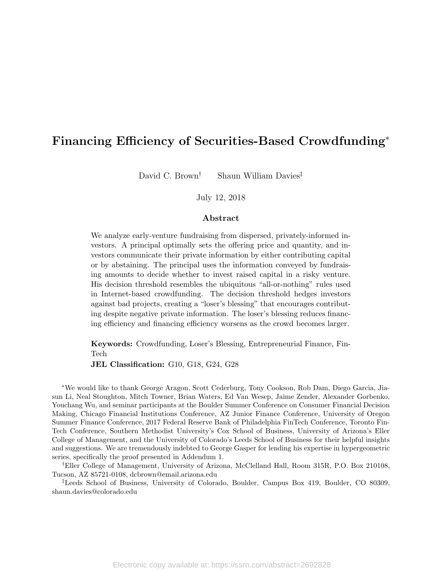# Financing Efficiency of Securities-Based Crowdfunding<sup>∗</sup>

David C. Brown<sup>†</sup> Shaun William Davies<sup>‡</sup>

### July 12, 2018

## Abstract

We analyze early-venture fundraising from dispersed, privately-informed investors. A principal optimally sets the offering price and quantity, and investors communicate their private information by either contributing capital or by abstaining. The principal uses the information conveyed by fundraising amounts to decide whether to invest raised capital in a risky venture. His decision threshold resembles the ubiquitous "all-or-nothing" rules used in Internet-based crowdfunding. The decision threshold hedges investors against bad projects, creating a "loser's blessing" that encourages contributing despite negative private information. The loser's blessing reduces financing efficiency and financing efficiency worsens as the crowd becomes larger.

Keywords: Crowdfunding, Loser's Blessing, Entrepreneurial Finance, Fin-Tech

JEL Classification: G10, G18, G24, G28

<sup>∗</sup>We would like to thank George Aragon, Scott Cederburg, Tony Cookson, Rob Dam, Diego Garcia, Jiasun Li, Neal Stoughton, Mitch Towner, Brian Waters, Ed Van Wesep, Jaime Zender, Alexander Gorbenko, Youchang Wu, and seminar participants at the Boulder Summer Conference on Consumer Financial Decision Making, Chicago Financial Institutions Conference, AZ Junior Finance Conference, University of Oregon Summer Finance Conference, 2017 Federal Reserve Bank of Philadelphia FinTech Conference, Toronto Fin-Tech Conference, Southern Methodist University's Cox School of Business, University of Arizona's Eller College of Management, and the University of Colorado's Leeds School of Business for their helpful insights and suggestions. We are tremendously indebted to George Gasper for lending his expertise in hypergeometric series, specifically the proof presented in Addendum 1.

†Eller College of Management, University of Arizona, McClelland Hall, Room 315R, P.O. Box 210108, Tucson, AZ 85721-0108, dcbrown@email.arizona.edu

‡Leeds School of Business, University of Colorado, Boulder, Campus Box 419, Boulder, CO 80309, shaun.davies@colorado.edu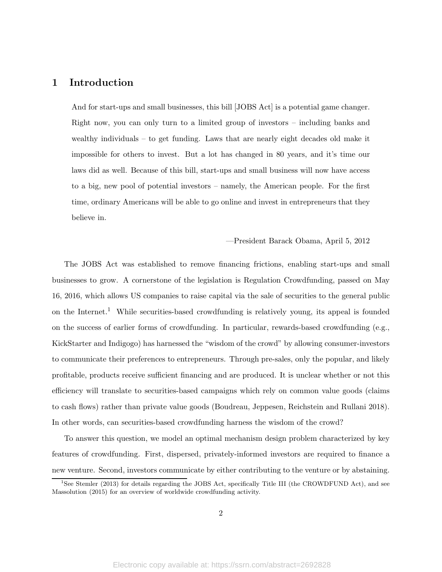## 1 Introduction

And for start-ups and small businesses, this bill [JOBS Act] is a potential game changer. Right now, you can only turn to a limited group of investors – including banks and wealthy individuals – to get funding. Laws that are nearly eight decades old make it impossible for others to invest. But a lot has changed in 80 years, and it's time our laws did as well. Because of this bill, start-ups and small business will now have access to a big, new pool of potential investors – namely, the American people. For the first time, ordinary Americans will be able to go online and invest in entrepreneurs that they believe in.

—President Barack Obama, April 5, 2012

The JOBS Act was established to remove financing frictions, enabling start-ups and small businesses to grow. A cornerstone of the legislation is Regulation Crowdfunding, passed on May 16, 2016, which allows US companies to raise capital via the sale of securities to the general public on the Internet.<sup>1</sup> While securities-based crowdfunding is relatively young, its appeal is founded on the success of earlier forms of crowdfunding. In particular, rewards-based crowdfunding (e.g., KickStarter and Indigogo) has harnessed the "wisdom of the crowd" by allowing consumer-investors to communicate their preferences to entrepreneurs. Through pre-sales, only the popular, and likely profitable, products receive sufficient financing and are produced. It is unclear whether or not this efficiency will translate to securities-based campaigns which rely on common value goods (claims to cash flows) rather than private value goods (Boudreau, Jeppesen, Reichstein and Rullani 2018). In other words, can securities-based crowdfunding harness the wisdom of the crowd?

To answer this question, we model an optimal mechanism design problem characterized by key features of crowdfunding. First, dispersed, privately-informed investors are required to finance a new venture. Second, investors communicate by either contributing to the venture or by abstaining.

<sup>&</sup>lt;sup>1</sup>See Stemler (2013) for details regarding the JOBS Act, specifically Title III (the CROWDFUND Act), and see Massolution (2015) for an overview of worldwide crowdfunding activity.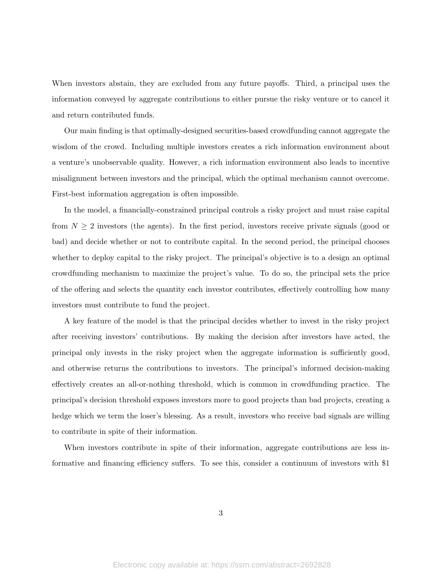When investors abstain, they are excluded from any future payoffs. Third, a principal uses the information conveyed by aggregate contributions to either pursue the risky venture or to cancel it and return contributed funds.

Our main finding is that optimally-designed securities-based crowdfunding cannot aggregate the wisdom of the crowd. Including multiple investors creates a rich information environment about a venture's unobservable quality. However, a rich information environment also leads to incentive misalignment between investors and the principal, which the optimal mechanism cannot overcome. First-best information aggregation is often impossible.

In the model, a financially-constrained principal controls a risky project and must raise capital from  $N \geq 2$  investors (the agents). In the first period, investors receive private signals (good or bad) and decide whether or not to contribute capital. In the second period, the principal chooses whether to deploy capital to the risky project. The principal's objective is to a design an optimal crowdfunding mechanism to maximize the project's value. To do so, the principal sets the price of the offering and selects the quantity each investor contributes, effectively controlling how many investors must contribute to fund the project.

A key feature of the model is that the principal decides whether to invest in the risky project after receiving investors' contributions. By making the decision after investors have acted, the principal only invests in the risky project when the aggregate information is sufficiently good, and otherwise returns the contributions to investors. The principal's informed decision-making effectively creates an all-or-nothing threshold, which is common in crowdfunding practice. The principal's decision threshold exposes investors more to good projects than bad projects, creating a hedge which we term the loser's blessing. As a result, investors who receive bad signals are willing to contribute in spite of their information.

When investors contribute in spite of their information, aggregate contributions are less informative and financing efficiency suffers. To see this, consider a continuum of investors with \$1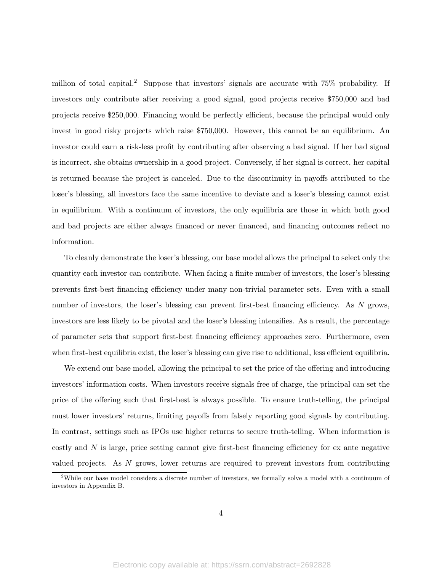million of total capital.<sup>2</sup> Suppose that investors' signals are accurate with  $75\%$  probability. If investors only contribute after receiving a good signal, good projects receive \$750,000 and bad projects receive \$250,000. Financing would be perfectly efficient, because the principal would only invest in good risky projects which raise \$750,000. However, this cannot be an equilibrium. An investor could earn a risk-less profit by contributing after observing a bad signal. If her bad signal is incorrect, she obtains ownership in a good project. Conversely, if her signal is correct, her capital is returned because the project is canceled. Due to the discontinuity in payoffs attributed to the loser's blessing, all investors face the same incentive to deviate and a loser's blessing cannot exist in equilibrium. With a continuum of investors, the only equilibria are those in which both good and bad projects are either always financed or never financed, and financing outcomes reflect no information.

To cleanly demonstrate the loser's blessing, our base model allows the principal to select only the quantity each investor can contribute. When facing a finite number of investors, the loser's blessing prevents first-best financing efficiency under many non-trivial parameter sets. Even with a small number of investors, the loser's blessing can prevent first-best financing efficiency. As N grows, investors are less likely to be pivotal and the loser's blessing intensifies. As a result, the percentage of parameter sets that support first-best financing efficiency approaches zero. Furthermore, even when first-best equilibria exist, the loser's blessing can give rise to additional, less efficient equilibria.

We extend our base model, allowing the principal to set the price of the offering and introducing investors' information costs. When investors receive signals free of charge, the principal can set the price of the offering such that first-best is always possible. To ensure truth-telling, the principal must lower investors' returns, limiting payoffs from falsely reporting good signals by contributing. In contrast, settings such as IPOs use higher returns to secure truth-telling. When information is costly and N is large, price setting cannot give first-best financing efficiency for ex ante negative valued projects. As N grows, lower returns are required to prevent investors from contributing

<sup>&</sup>lt;sup>2</sup>While our base model considers a discrete number of investors, we formally solve a model with a continuum of investors in Appendix B.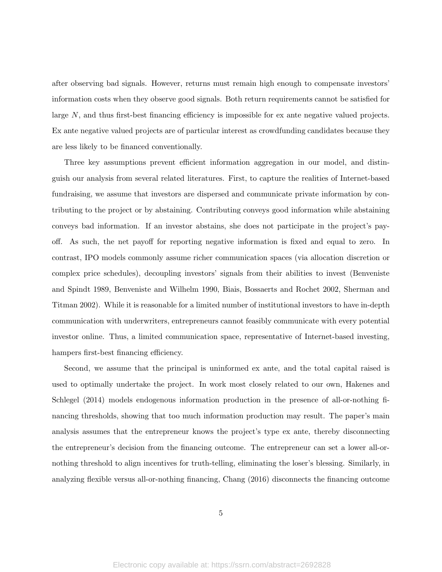after observing bad signals. However, returns must remain high enough to compensate investors' information costs when they observe good signals. Both return requirements cannot be satisfied for large N, and thus first-best financing efficiency is impossible for ex ante negative valued projects. Ex ante negative valued projects are of particular interest as crowdfunding candidates because they are less likely to be financed conventionally.

Three key assumptions prevent efficient information aggregation in our model, and distinguish our analysis from several related literatures. First, to capture the realities of Internet-based fundraising, we assume that investors are dispersed and communicate private information by contributing to the project or by abstaining. Contributing conveys good information while abstaining conveys bad information. If an investor abstains, she does not participate in the project's payoff. As such, the net payoff for reporting negative information is fixed and equal to zero. In contrast, IPO models commonly assume richer communication spaces (via allocation discretion or complex price schedules), decoupling investors' signals from their abilities to invest (Benveniste and Spindt 1989, Benveniste and Wilhelm 1990, Biais, Bossaerts and Rochet 2002, Sherman and Titman 2002). While it is reasonable for a limited number of institutional investors to have in-depth communication with underwriters, entrepreneurs cannot feasibly communicate with every potential investor online. Thus, a limited communication space, representative of Internet-based investing, hampers first-best financing efficiency.

Second, we assume that the principal is uninformed ex ante, and the total capital raised is used to optimally undertake the project. In work most closely related to our own, Hakenes and Schlegel (2014) models endogenous information production in the presence of all-or-nothing financing thresholds, showing that too much information production may result. The paper's main analysis assumes that the entrepreneur knows the project's type ex ante, thereby disconnecting the entrepreneur's decision from the financing outcome. The entrepreneur can set a lower all-ornothing threshold to align incentives for truth-telling, eliminating the loser's blessing. Similarly, in analyzing flexible versus all-or-nothing financing, Chang (2016) disconnects the financing outcome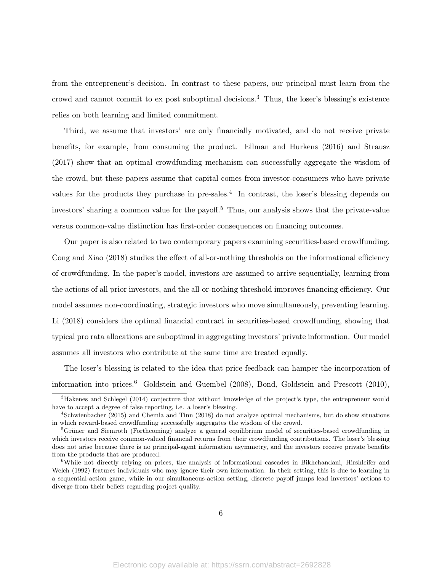from the entrepreneur's decision. In contrast to these papers, our principal must learn from the crowd and cannot commit to ex post suboptimal decisions.<sup>3</sup> Thus, the loser's blessing's existence relies on both learning and limited commitment.

Third, we assume that investors' are only financially motivated, and do not receive private benefits, for example, from consuming the product. Ellman and Hurkens (2016) and Strausz (2017) show that an optimal crowdfunding mechanism can successfully aggregate the wisdom of the crowd, but these papers assume that capital comes from investor-consumers who have private values for the products they purchase in pre-sales.<sup>4</sup> In contrast, the loser's blessing depends on investors' sharing a common value for the payoff.<sup>5</sup> Thus, our analysis shows that the private-value versus common-value distinction has first-order consequences on financing outcomes.

Our paper is also related to two contemporary papers examining securities-based crowdfunding. Cong and Xiao (2018) studies the effect of all-or-nothing thresholds on the informational efficiency of crowdfunding. In the paper's model, investors are assumed to arrive sequentially, learning from the actions of all prior investors, and the all-or-nothing threshold improves financing efficiency. Our model assumes non-coordinating, strategic investors who move simultaneously, preventing learning. Li (2018) considers the optimal financial contract in securities-based crowdfunding, showing that typical pro rata allocations are suboptimal in aggregating investors' private information. Our model assumes all investors who contribute at the same time are treated equally.

The loser's blessing is related to the idea that price feedback can hamper the incorporation of information into prices.<sup>6</sup> Goldstein and Guembel (2008), Bond, Goldstein and Prescott (2010),

<sup>3</sup>Hakenes and Schlegel (2014) conjecture that without knowledge of the project's type, the entrepreneur would have to accept a degree of false reporting, i.e. a loser's blessing.

<sup>4</sup> Schwienbacher (2015) and Chemla and Tinn (2018) do not analyze optimal mechanisms, but do show situations in which reward-based crowdfunding successfully aggregates the wisdom of the crowd.

<sup>&</sup>lt;sup>5</sup>Grüner and Siemroth (Forthcoming) analyze a general equilibrium model of securities-based crowdfunding in which investors receive common-valued financial returns from their crowdfunding contributions. The loser's blessing does not arise because there is no principal-agent information asymmetry, and the investors receive private benefits from the products that are produced.

<sup>6</sup>While not directly relying on prices, the analysis of informational cascades in Bikhchandani, Hirshleifer and Welch (1992) features individuals who may ignore their own information. In their setting, this is due to learning in a sequential-action game, while in our simultaneous-action setting, discrete payoff jumps lead investors' actions to diverge from their beliefs regarding project quality.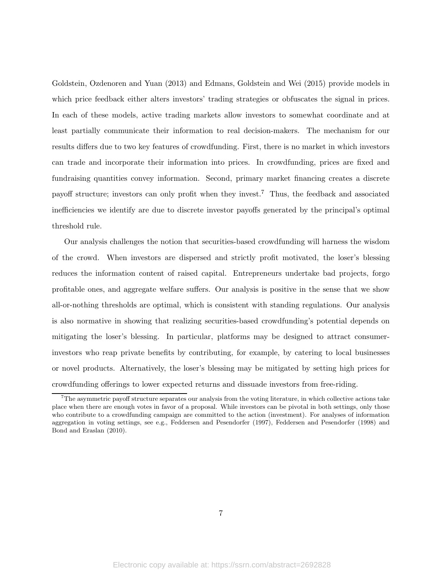Goldstein, Ozdenoren and Yuan (2013) and Edmans, Goldstein and Wei (2015) provide models in which price feedback either alters investors' trading strategies or obfuscates the signal in prices. In each of these models, active trading markets allow investors to somewhat coordinate and at least partially communicate their information to real decision-makers. The mechanism for our results differs due to two key features of crowdfunding. First, there is no market in which investors can trade and incorporate their information into prices. In crowdfunding, prices are fixed and fundraising quantities convey information. Second, primary market financing creates a discrete payoff structure; investors can only profit when they invest.<sup>7</sup> Thus, the feedback and associated inefficiencies we identify are due to discrete investor payoffs generated by the principal's optimal threshold rule.

Our analysis challenges the notion that securities-based crowdfunding will harness the wisdom of the crowd. When investors are dispersed and strictly profit motivated, the loser's blessing reduces the information content of raised capital. Entrepreneurs undertake bad projects, forgo profitable ones, and aggregate welfare suffers. Our analysis is positive in the sense that we show all-or-nothing thresholds are optimal, which is consistent with standing regulations. Our analysis is also normative in showing that realizing securities-based crowdfunding's potential depends on mitigating the loser's blessing. In particular, platforms may be designed to attract consumerinvestors who reap private benefits by contributing, for example, by catering to local businesses or novel products. Alternatively, the loser's blessing may be mitigated by setting high prices for crowdfunding offerings to lower expected returns and dissuade investors from free-riding.

 $7$ The asymmetric payoff structure separates our analysis from the voting literature, in which collective actions take place when there are enough votes in favor of a proposal. While investors can be pivotal in both settings, only those who contribute to a crowdfunding campaign are committed to the action (investment). For analyses of information aggregation in voting settings, see e.g., Feddersen and Pesendorfer (1997), Feddersen and Pesendorfer (1998) and Bond and Eraslan (2010).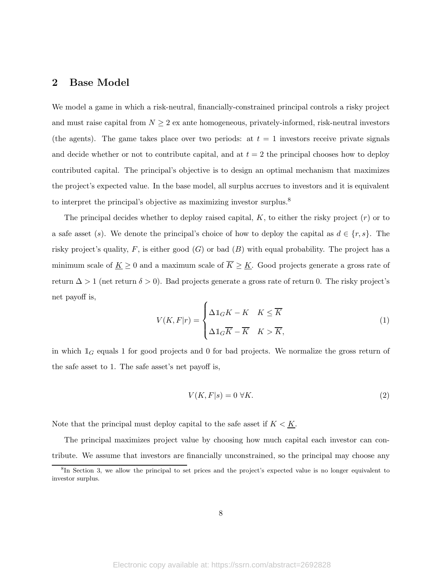## 2 Base Model

We model a game in which a risk-neutral, financially-constrained principal controls a risky project and must raise capital from  $N \geq 2$  ex ante homogeneous, privately-informed, risk-neutral investors (the agents). The game takes place over two periods: at  $t = 1$  investors receive private signals and decide whether or not to contribute capital, and at  $t = 2$  the principal chooses how to deploy contributed capital. The principal's objective is to design an optimal mechanism that maximizes the project's expected value. In the base model, all surplus accrues to investors and it is equivalent to interpret the principal's objective as maximizing investor surplus.<sup>8</sup>

The principal decides whether to deploy raised capital,  $K$ , to either the risky project  $(r)$  or to a safe asset (s). We denote the principal's choice of how to deploy the capital as  $d \in \{r, s\}$ . The risky project's quality,  $F$ , is either good  $(G)$  or bad  $(B)$  with equal probability. The project has a minimum scale of  $\underline{K} \geq 0$  and a maximum scale of  $\overline{K} \geq \underline{K}$ . Good projects generate a gross rate of return  $\Delta > 1$  (net return  $\delta > 0$ ). Bad projects generate a gross rate of return 0. The risky project's net payoff is,

$$
V(K, F|r) = \begin{cases} \Delta \mathbb{1}_G K - K & K \leq \overline{K} \\ \Delta \mathbb{1}_G \overline{K} - \overline{K} & K > \overline{K}, \end{cases}
$$
(1)

in which  $\mathbb{1}_G$  equals 1 for good projects and 0 for bad projects. We normalize the gross return of the safe asset to 1. The safe asset's net payoff is,

$$
V(K, F|s) = 0 \ \forall K. \tag{2}
$$

Note that the principal must deploy capital to the safe asset if  $K \leq K$ .

The principal maximizes project value by choosing how much capital each investor can contribute. We assume that investors are financially unconstrained, so the principal may choose any

<sup>&</sup>lt;sup>8</sup>In Section 3, we allow the principal to set prices and the project's expected value is no longer equivalent to investor surplus.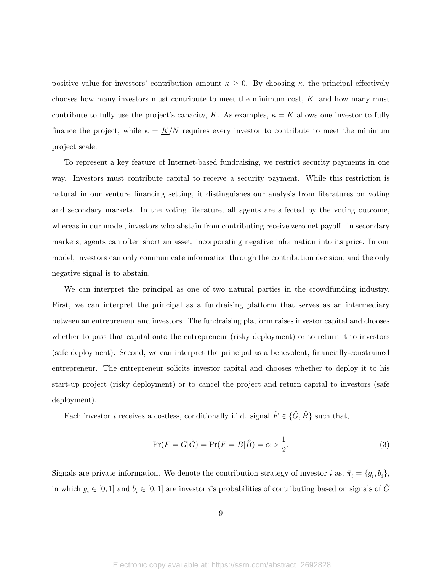positive value for investors' contribution amount  $\kappa \geq 0$ . By choosing  $\kappa$ , the principal effectively chooses how many investors must contribute to meet the minimum cost,  $\underline{K}$ , and how many must contribute to fully use the project's capacity,  $\overline{K}$ . As examples,  $\kappa = \overline{K}$  allows one investor to fully finance the project, while  $\kappa = \frac{K}{N}$  requires every investor to contribute to meet the minimum project scale.

To represent a key feature of Internet-based fundraising, we restrict security payments in one way. Investors must contribute capital to receive a security payment. While this restriction is natural in our venture financing setting, it distinguishes our analysis from literatures on voting and secondary markets. In the voting literature, all agents are affected by the voting outcome, whereas in our model, investors who abstain from contributing receive zero net payoff. In secondary markets, agents can often short an asset, incorporating negative information into its price. In our model, investors can only communicate information through the contribution decision, and the only negative signal is to abstain.

We can interpret the principal as one of two natural parties in the crowdfunding industry. First, we can interpret the principal as a fundraising platform that serves as an intermediary between an entrepreneur and investors. The fundraising platform raises investor capital and chooses whether to pass that capital onto the entrepreneur (risky deployment) or to return it to investors (safe deployment). Second, we can interpret the principal as a benevolent, financially-constrained entrepreneur. The entrepreneur solicits investor capital and chooses whether to deploy it to his start-up project (risky deployment) or to cancel the project and return capital to investors (safe deployment).

Each investor *i* receives a costless, conditionally i.i.d. signal  $\hat{F} \in \{\hat{G}, \hat{B}\}\$  such that,

$$
\Pr(F = G|\hat{G}) = \Pr(F = B|\hat{B}) = \alpha > \frac{1}{2}.
$$
\n(3)

Signals are private information. We denote the contribution strategy of investor *i* as,  $\vec{\pi}_i = \{g_i, b_i\},\$ in which  $g_i \in [0,1]$  and  $b_i \in [0,1]$  are investor i's probabilities of contributing based on signals of  $\hat{G}$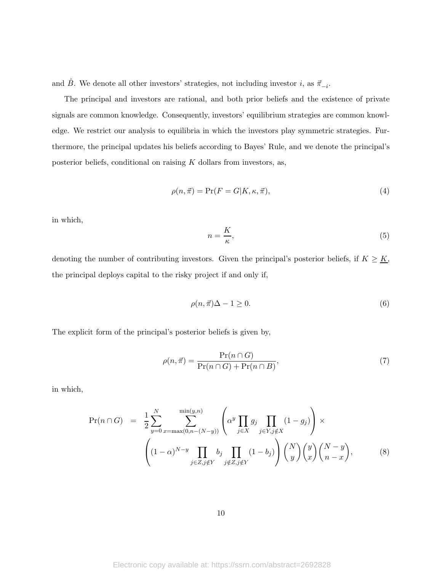and  $\hat{B}$ . We denote all other investors' strategies, not including investor *i*, as  $\vec{\pi}_{-i}$ .

The principal and investors are rational, and both prior beliefs and the existence of private signals are common knowledge. Consequently, investors' equilibrium strategies are common knowledge. We restrict our analysis to equilibria in which the investors play symmetric strategies. Furthermore, the principal updates his beliefs according to Bayes' Rule, and we denote the principal's posterior beliefs, conditional on raising  $K$  dollars from investors, as,

$$
\rho(n,\vec{\pi}) = \Pr(F = G|K, \kappa, \vec{\pi}),\tag{4}
$$

in which,

$$
n = \frac{K}{\kappa},\tag{5}
$$

denoting the number of contributing investors. Given the principal's posterior beliefs, if  $K \geq \underline{K}$ , the principal deploys capital to the risky project if and only if,

$$
\rho(n,\vec{\pi})\Delta - 1 \ge 0. \tag{6}
$$

The explicit form of the principal's posterior beliefs is given by,

$$
\rho(n,\vec{\pi}) = \frac{\Pr(n \cap G)}{\Pr(n \cap G) + \Pr(n \cap B)},\tag{7}
$$

in which,

$$
\Pr(n \cap G) = \frac{1}{2} \sum_{y=0}^{N} \sum_{x=\max(0,n-(N-y))}^{\min(y,n)} \left( \alpha^y \prod_{j \in X} g_j \prod_{j \in Y, j \notin X} (1 - g_j) \right) \times \left( (1 - \alpha)^{N-y} \prod_{j \in Z, j \notin Y} b_j \prod_{j \notin Z, j \notin Y} (1 - b_j) \right) {N \choose y} {y \choose x} {N-y \choose n-x}, \tag{8}
$$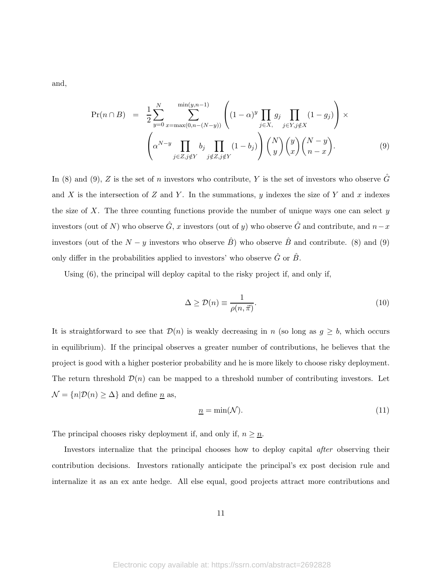and,

$$
\Pr(n \cap B) = \frac{1}{2} \sum_{y=0}^{N} \sum_{x=\max(0,n-(N-y))}^{\min(y,n-1)} \left( (1-\alpha)^y \prod_{j \in X, j \in Y, j \notin X} g_j \prod_{j \in Y, j \notin X} (1-g_j) \right) \times \left( \alpha^{N-y} \prod_{j \in Z, j \notin Y} b_j \prod_{j \notin Z, j \notin Y} (1-b_j) \right) {N \choose y} {y \choose x} {N-y \choose n-x}.
$$
\n(9)

In (8) and (9), Z is the set of n investors who contribute, Y is the set of investors who observe  $\hat{G}$ and X is the intersection of Z and Y. In the summations, y indexes the size of Y and x indexes the size of X. The three counting functions provide the number of unique ways one can select  $y$ investors (out of N) who observe  $\hat{G}$ , x investors (out of y) who observe  $\hat{G}$  and contribute, and  $n-x$ investors (out of the  $N - y$  investors who observe  $\hat{B}$ ) who observe  $\hat{B}$  and contribute. (8) and (9) only differ in the probabilities applied to investors' who observe  $\hat{G}$  or  $\hat{B}$ .

Using (6), the principal will deploy capital to the risky project if, and only if,

$$
\Delta \ge \mathcal{D}(n) \equiv \frac{1}{\rho(n, \vec{\pi})}.\tag{10}
$$

It is straightforward to see that  $\mathcal{D}(n)$  is weakly decreasing in n (so long as  $g \geq b$ , which occurs in equilibrium). If the principal observes a greater number of contributions, he believes that the project is good with a higher posterior probability and he is more likely to choose risky deployment. The return threshold  $\mathcal{D}(n)$  can be mapped to a threshold number of contributing investors. Let  $\mathcal{N}=\{n|\mathcal{D}(n)\geq \Delta\}$  and define  $\underline{n}$  as,

$$
\underline{n} = \min(\mathcal{N}).\tag{11}
$$

The principal chooses risky deployment if, and only if,  $n\geq \underline{n}.$ 

Investors internalize that the principal chooses how to deploy capital after observing their contribution decisions. Investors rationally anticipate the principal's ex post decision rule and internalize it as an ex ante hedge. All else equal, good projects attract more contributions and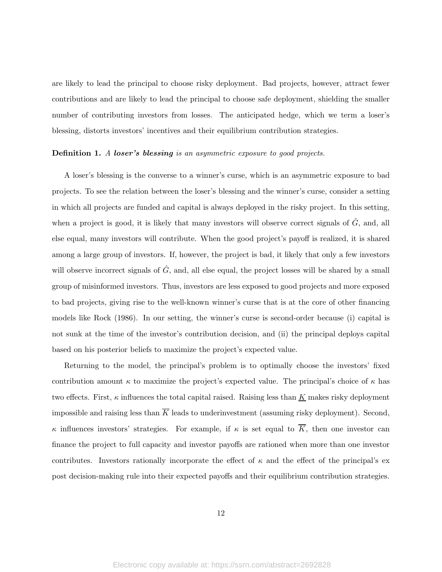are likely to lead the principal to choose risky deployment. Bad projects, however, attract fewer contributions and are likely to lead the principal to choose safe deployment, shielding the smaller number of contributing investors from losses. The anticipated hedge, which we term a loser's blessing, distorts investors' incentives and their equilibrium contribution strategies.

### Definition 1. A loser's blessing is an asymmetric exposure to good projects.

A loser's blessing is the converse to a winner's curse, which is an asymmetric exposure to bad projects. To see the relation between the loser's blessing and the winner's curse, consider a setting in which all projects are funded and capital is always deployed in the risky project. In this setting, when a project is good, it is likely that many investors will observe correct signals of  $\hat{G}$ , and, all else equal, many investors will contribute. When the good project's payoff is realized, it is shared among a large group of investors. If, however, the project is bad, it likely that only a few investors will observe incorrect signals of  $\tilde{G}$ , and, all else equal, the project losses will be shared by a small group of misinformed investors. Thus, investors are less exposed to good projects and more exposed to bad projects, giving rise to the well-known winner's curse that is at the core of other financing models like Rock (1986). In our setting, the winner's curse is second-order because (i) capital is not sunk at the time of the investor's contribution decision, and (ii) the principal deploys capital based on his posterior beliefs to maximize the project's expected value.

Returning to the model, the principal's problem is to optimally choose the investors' fixed contribution amount  $\kappa$  to maximize the project's expected value. The principal's choice of  $\kappa$  has two effects. First,  $\kappa$  influences the total capital raised. Raising less than  $K$  makes risky deployment impossible and raising less than  $\overline{K}$  leads to underinvestment (assuming risky deployment). Second, κ influences investors' strategies. For example, if  $\kappa$  is set equal to  $\overline{K}$ , then one investor can finance the project to full capacity and investor payoffs are rationed when more than one investor contributes. Investors rationally incorporate the effect of  $\kappa$  and the effect of the principal's expost decision-making rule into their expected payoffs and their equilibrium contribution strategies.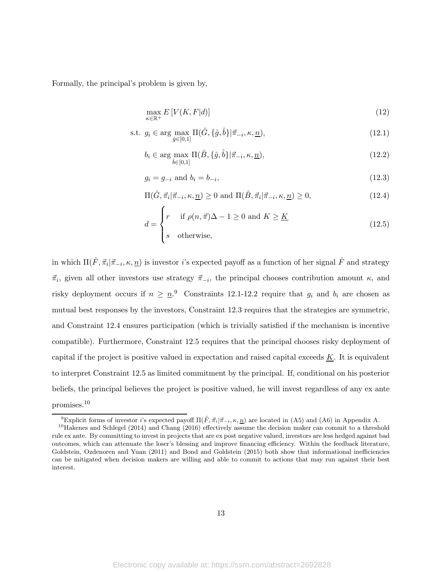Formally, the principal's problem is given by,

$$
\max_{\kappa \in \mathbb{R}^+} E\left[V(K, F|d)\right] \tag{12}
$$

s.t. 
$$
g_i \in \arg\max_{\hat{g} \in [0,1]} \Pi(\hat{G}, \{\hat{g}, \hat{b}\} | \vec{\pi}_{-i}, \kappa, \underline{n}),
$$
 (12.1)

$$
b_i \in \arg\max_{\hat{b} \in [0,1]} \Pi(\hat{B}, \{\hat{g}, \hat{b}\} | \vec{\pi}_{-i}, \kappa, \underline{n}),
$$
\n(12.2)

$$
g_i = g_{-i} \text{ and } b_i = b_{-i}, \tag{12.3}
$$

$$
\Pi(\hat{G}, \vec{\pi}_i | \vec{\pi}_{-i}, \kappa, \underline{n}) \ge 0 \text{ and } \Pi(\hat{B}, \vec{\pi}_i | \vec{\pi}_{-i}, \kappa, \underline{n}) \ge 0,
$$
\n(12.4)

$$
d = \begin{cases} r & \text{if } \rho(n, \vec{\pi})\Delta - 1 \ge 0 \text{ and } K \ge \underline{K} \\ s & \text{otherwise,} \end{cases}
$$
 (12.5)

in which  $\Pi(\hat{F}, \vec{\pi}_i | \vec{\pi}_{-i}, \kappa, \underline{n})$  is investor *i*'s expected payoff as a function of her signal  $\hat{F}$  and strategy  $\vec{\pi}_i$ , given all other investors use strategy  $\vec{\pi}_{-i}$ , the principal chooses contribution amount  $\kappa$ , and risky deployment occurs if  $n \geq n$ .<sup>9</sup> Constraints 12.1-12.2 require that  $g_i$  and  $b_i$  are chosen as mutual best responses by the investors, Constraint 12.3 requires that the strategies are symmetric, and Constraint 12.4 ensures participation (which is trivially satisfied if the mechanism is incentive compatible). Furthermore, Constraint 12.5 requires that the principal chooses risky deployment of capital if the project is positive valued in expectation and raised capital exceeds  $K$ . It is equivalent to interpret Constraint 12.5 as limited commitment by the principal. If, conditional on his posterior beliefs, the principal believes the project is positive valued, he will invest regardless of any ex ante promises.<sup>10</sup>

<sup>&</sup>lt;sup>9</sup>Explicit forms of investor *i*'s expected payoff  $\Pi(\hat{F}, \vec{\pi}_i | \vec{\pi}_{-i}, \kappa, \underline{n})$  are located in (A5) and (A6) in Appendix A.

<sup>&</sup>lt;sup>10</sup>Hakenes and Schlegel (2014) and Chang (2016) effectively assume the decision maker can commit to a threshold rule ex ante. By committing to invest in projects that are ex post negative valued, investors are less hedged against bad outcomes, which can attenuate the loser's blessing and improve financing efficiency. Within the feedback literature, Goldstein, Ozdenoren and Yuan (2011) and Bond and Goldstein (2015) both show that informational inefficiencies can be mitigated when decision makers are willing and able to commit to actions that may run against their best interest.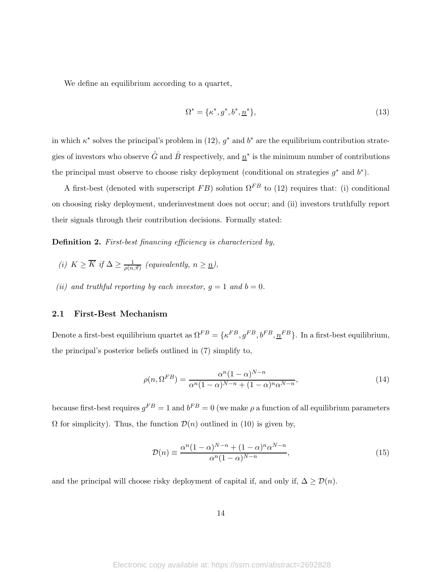We define an equilibrium according to a quartet,

$$
\Omega^* = \{ \kappa^*, g^*, b^*, \underline{n}^* \},\tag{13}
$$

in which  $\kappa^*$  solves the principal's problem in (12),  $g^*$  and  $b^*$  are the equilibrium contribution strategies of investors who observe  $\hat{G}$  and  $\hat{B}$  respectively, and  $\underline{n}^*$  is the minimum number of contributions the principal must observe to choose risky deployment (conditional on strategies  $g^*$  and  $b^*$ ).

A first-best (denoted with superscript FB) solution  $\Omega^{FB}$  to (12) requires that: (i) conditional on choosing risky deployment, underinvestment does not occur; and (ii) investors truthfully report their signals through their contribution decisions. Formally stated:

Definition 2. First-best financing efficiency is characterized by,

- (i)  $K \geq \overline{K}$  if  $\Delta \geq \frac{1}{\rho(n,\vec{\pi})}$  (equivalently,  $n \geq \underline{n}$ ),
- (ii) and truthful reporting by each investor,  $q = 1$  and  $b = 0$ .

## 2.1 First-Best Mechanism

Denote a first-best equilibrium quartet as  $\Omega^{FB} = \{\kappa^{FB}, g^{FB}, b^{FB}, \underline{n}^{FB}\}\.$  In a first-best equilibrium, the principal's posterior beliefs outlined in (7) simplify to,

$$
\rho(n,\Omega^{FB}) = \frac{\alpha^n (1-\alpha)^{N-n}}{\alpha^n (1-\alpha)^{N-n} + (1-\alpha)^n \alpha^{N-n}},\tag{14}
$$

because first-best requires  $g^{FB} = 1$  and  $b^{FB} = 0$  (we make  $\rho$  a function of all equilibrium parameters  $\Omega$  for simplicity). Thus, the function  $\mathcal{D}(n)$  outlined in (10) is given by,

$$
\mathcal{D}(n) \equiv \frac{\alpha^n (1-\alpha)^{N-n} + (1-\alpha)^n \alpha^{N-n}}{\alpha^n (1-\alpha)^{N-n}},\tag{15}
$$

and the principal will choose risky deployment of capital if, and only if,  $\Delta \ge \mathcal{D}(n)$ .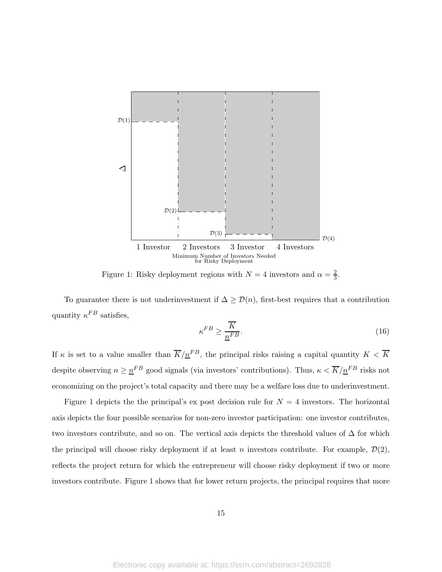

Figure 1: Risky deployment regions with  $N=4$  investors and  $\alpha=\frac{2}{3}$  $\frac{2}{3}$ .

To guarantee there is not underinvestment if  $\Delta \ge \mathcal{D}(n)$ , first-best requires that a contribution quantity  $\kappa^{FB}$  satisfies,

$$
\kappa^{FB} \ge \frac{\overline{K}}{\underline{n}^{FB}}.\tag{16}
$$

If  $\kappa$  is set to a value smaller than  $\overline{K}/\underline{n}^{FB}$ , the principal risks raising a capital quantity  $K < \overline{K}$ despite observing  $n \geq n^{FB}$  good signals (via investors' contributions). Thus,  $\kappa < \overline{K}/n^{FB}$  risks not economizing on the project's total capacity and there may be a welfare loss due to underinvestment.

Figure 1 depicts the the principal's ex post decision rule for  $N = 4$  investors. The horizontal axis depicts the four possible scenarios for non-zero investor participation: one investor contributes, two investors contribute, and so on. The vertical axis depicts the threshold values of  $\Delta$  for which the principal will choose risky deployment if at least n investors contribute. For example,  $\mathcal{D}(2)$ , reflects the project return for which the entrepreneur will choose risky deployment if two or more investors contribute. Figure 1 shows that for lower return projects, the principal requires that more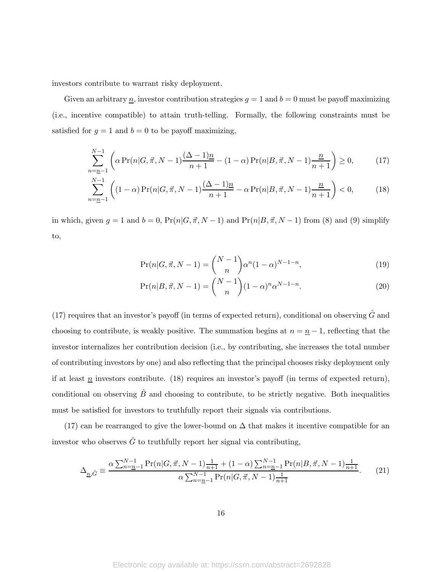investors contribute to warrant risky deployment.

Given an arbitrary  $\underline{n}$ , investor contribution strategies  $g = 1$  and  $b = 0$  must be payoff maximizing (i.e., incentive compatible) to attain truth-telling. Formally, the following constraints must be satisfied for  $g = 1$  and  $b = 0$  to be payoff maximizing,

$$
\sum_{n=\underline{n-1}}^{N-1} \left( \alpha \Pr(n|G,\vec{\pi},N-1) \frac{(\Delta-1)\underline{n}}{n+1} - (1-\alpha) \Pr(n|B,\vec{\pi},N-1) \frac{\underline{n}}{n+1} \right) \ge 0, \tag{17}
$$

$$
\sum_{n=\underline{n}-1}^{N-1} \left( (1-\alpha) \Pr(n|G,\vec{\pi},N-1) \frac{(\Delta-1)n}{n+1} - \alpha \Pr(n|B,\vec{\pi},N-1) \frac{n}{n+1} \right) < 0,\tag{18}
$$

in which, given  $g = 1$  and  $b = 0$ ,  $Pr(n|G, \vec{\pi}, N - 1)$  and  $Pr(n|B, \vec{\pi}, N - 1)$  from (8) and (9) simplify to,

$$
\Pr(n|G, \vec{\pi}, N-1) = \binom{N-1}{n} \alpha^n (1-\alpha)^{N-1-n},\tag{19}
$$

$$
\Pr(n|B,\vec{\pi},N-1) = \binom{N-1}{n} (1-\alpha)^n \alpha^{N-1-n}.
$$
\n(20)

(17) requires that an investor's payoff (in terms of expected return), conditional on observing  $\hat{G}$  and choosing to contribute, is weakly positive. The summation begins at  $n = \underline{n} - 1$ , reflecting that the investor internalizes her contribution decision (i.e., by contributing, she increases the total number of contributing investors by one) and also reflecting that the principal chooses risky deployment only if at least  $\underline{n}$  investors contribute. (18) requires an investor's payoff (in terms of expected return), conditional on observing  $\ddot{B}$  and choosing to contribute, to be strictly negative. Both inequalities must be satisfied for investors to truthfully report their signals via contributions.

(17) can be rearranged to give the lower-bound on  $\Delta$  that makes it incentive compatible for an investor who observes  $\hat{G}$  to truthfully report her signal via contributing,

$$
\Delta_{\underline{n},\hat{G}} \equiv \frac{\alpha \sum_{n=\underline{n}-1}^{N-1} \Pr(n|G,\vec{\pi},N-1) \frac{1}{n+1} + (1-\alpha) \sum_{n=\underline{n}-1}^{N-1} \Pr(n|B,\vec{\pi},N-1) \frac{1}{n+1}}{\alpha \sum_{n=\underline{n}-1}^{N-1} \Pr(n|G,\vec{\pi},N-1) \frac{1}{n+1}}.
$$
(21)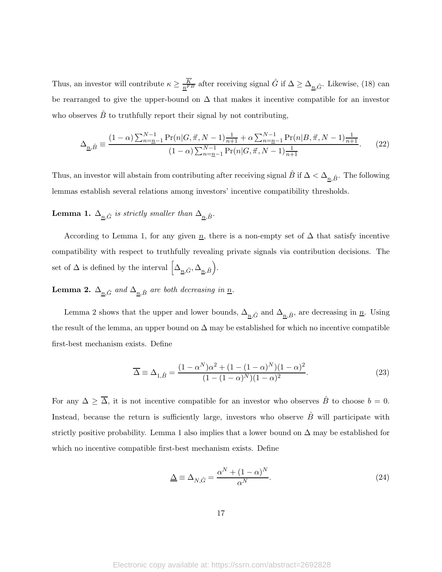Thus, an investor will contribute  $\kappa \ge \frac{\overline{K}}{n^{FB}}$  after receiving signal  $\hat{G}$  if  $\Delta \ge \Delta_{n,\hat{G}}$ . Likewise, (18) can be rearranged to give the upper-bound on  $\Delta$  that makes it incentive compatible for an investor who observes  $\hat{B}$  to truthfully report their signal by not contributing,

$$
\Delta_{\underline{n},\hat{B}} \equiv \frac{(1-\alpha)\sum_{n=\underline{n}-1}^{N-1} \Pr(n|G,\vec{\pi},N-1)\frac{1}{n+1} + \alpha \sum_{n=\underline{n}-1}^{N-1} \Pr(n|B,\vec{\pi},N-1)\frac{1}{n+1}}{(1-\alpha)\sum_{n=\underline{n}-1}^{N-1} \Pr(n|G,\vec{\pi},N-1)\frac{1}{n+1}}.
$$
(22)

Thus, an investor will abstain from contributing after receiving signal  $\hat{B}$  if  $\Delta < \Delta_{n,\hat{B}}$ . The following lemmas establish several relations among investors' incentive compatibility thresholds.

**Lemma 1.**  $\Delta_{n,\hat{G}}$  is strictly smaller than  $\Delta_{n,\hat{B}}$ .

According to Lemma 1, for any given  $\underline{n}$ , there is a non-empty set of  $\Delta$  that satisfy incentive compatibility with respect to truthfully revealing private signals via contribution decisions. The set of  $\Delta$  is defined by the interval  $\left[ \Delta_{\underline{n},\hat{G}}, \Delta_{\underline{n},\hat{B}} \right)$ .

**Lemma 2.**  $\Delta_{\underline{n},\hat{G}}$  and  $\Delta_{\underline{n},\hat{B}}$  are both decreasing in  $\underline{n}$ .

Lemma 2 shows that the upper and lower bounds,  $\Delta_{n,\hat{G}}$  and  $\Delta_{n,\hat{B}}$ , are decreasing in  $\underline{n}$ . Using the result of the lemma, an upper bound on  $\Delta$  may be established for which no incentive compatible first-best mechanism exists. Define

$$
\overline{\Delta} \equiv \Delta_{1,\hat{B}} = \frac{(1 - \alpha^N)\alpha^2 + (1 - (1 - \alpha)^N)(1 - \alpha)^2}{(1 - (1 - \alpha)^N)(1 - \alpha)^2}.
$$
\n(23)

For any  $\Delta \geq \overline{\Delta}$ , it is not incentive compatible for an investor who observes  $\hat{B}$  to choose  $b = 0$ . Instead, because the return is sufficiently large, investors who observe  $\hat{B}$  will participate with strictly positive probability. Lemma 1 also implies that a lower bound on  $\Delta$  may be established for which no incentive compatible first-best mechanism exists. Define

$$
\underline{\Delta} \equiv \Delta_{N,\hat{G}} = \frac{\alpha^N + (1 - \alpha)^N}{\alpha^N}.
$$
\n(24)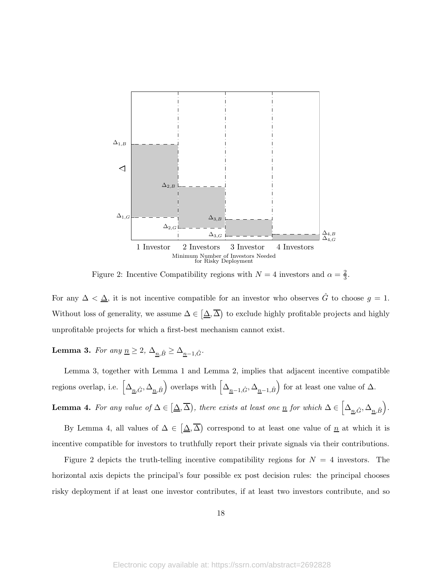

Figure 2: Incentive Compatibility regions with  $N=4$  investors and  $\alpha=\frac{2}{3}$  $\frac{2}{3}$ .

For any  $\Delta < \underline{\Delta}$ , it is not incentive compatible for an investor who observes  $\hat{G}$  to choose  $g = 1$ . Without loss of generality, we assume  $\Delta \in [\Delta, \overline{\Delta})$  to exclude highly profitable projects and highly unprofitable projects for which a first-best mechanism cannot exist.

Lemma 3. For any  $\underline{n} \geq 2$ ,  $\Delta_{n,\hat{B}} \geq \Delta_{n-1,\hat{G}}$ .

Lemma 3, together with Lemma 1 and Lemma 2, implies that adjacent incentive compatible regions overlap, i.e.  $\left[\Delta_{\underline{n},\hat{G}},\Delta_{\underline{n},\hat{B}}\right]$  overlaps with  $\left[\Delta_{\underline{n}-1,\hat{G}},\Delta_{\underline{n}-1,\hat{B}}\right)$  for at least one value of  $\Delta$ . **Lemma 4.** For any value of  $\Delta \in [\underline{\Delta}, \overline{\Delta})$ , there exists at least one  $\underline{n}$  for which  $\Delta \in [\Delta_{\underline{n}, \hat{G}}, \Delta_{\underline{n}, \hat{B}})$ .

By Lemma 4, all values of  $\Delta \in [\Delta, \overline{\Delta}]$  correspond to at least one value of  $\underline{n}$  at which it is incentive compatible for investors to truthfully report their private signals via their contributions.

Figure 2 depicts the truth-telling incentive compatibility regions for  $N = 4$  investors. The horizontal axis depicts the principal's four possible ex post decision rules: the principal chooses risky deployment if at least one investor contributes, if at least two investors contribute, and so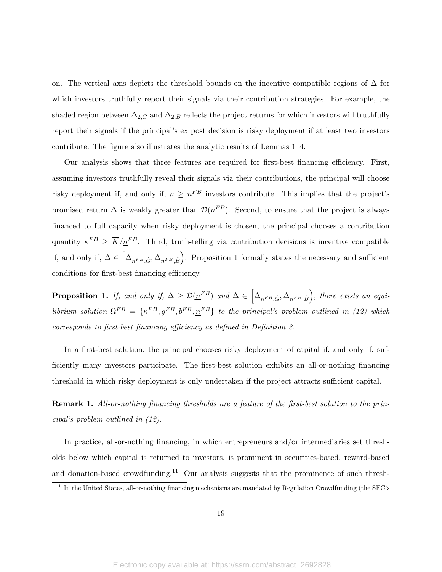on. The vertical axis depicts the threshold bounds on the incentive compatible regions of  $\Delta$  for which investors truthfully report their signals via their contribution strategies. For example, the shaded region between  $\Delta_{2,G}$  and  $\Delta_{2,B}$  reflects the project returns for which investors will truthfully report their signals if the principal's ex post decision is risky deployment if at least two investors contribute. The figure also illustrates the analytic results of Lemmas 1–4.

Our analysis shows that three features are required for first-best financing efficiency. First, assuming investors truthfully reveal their signals via their contributions, the principal will choose risky deployment if, and only if,  $n \geq n^{FB}$  investors contribute. This implies that the project's promised return  $\Delta$  is weakly greater than  $\mathcal{D}(\underline{n}^{FB})$ . Second, to ensure that the project is always financed to full capacity when risky deployment is chosen, the principal chooses a contribution quantity  $\kappa^{FB} \geq \overline{K}/\underline{n}^{FB}$ . Third, truth-telling via contribution decisions is incentive compatible if, and only if,  $\Delta \in \left[\Delta_{\underline{n}^{FB},\hat{G}},\Delta_{\underline{n}^{FB},\hat{B}}\right)$ . Proposition 1 formally states the necessary and sufficient conditions for first-best financing efficiency.

**Proposition 1.** If, and only if,  $\Delta \ge \mathcal{D}(\underline{n}^{FB})$  and  $\Delta \in \left[\Delta_{\underline{n}^{FB}, \hat{G}}, \Delta_{\underline{n}^{FB}, \hat{B}}\right)$ , there exists an equilibrium solution  $\Omega^{FB} = {\kappa^{FB}, g^{FB}, b^{FB}, n^{FB} \}$  to the principal's problem outlined in (12) which corresponds to first-best financing efficiency as defined in Definition 2.

In a first-best solution, the principal chooses risky deployment of capital if, and only if, sufficiently many investors participate. The first-best solution exhibits an all-or-nothing financing threshold in which risky deployment is only undertaken if the project attracts sufficient capital.

Remark 1. All-or-nothing financing thresholds are a feature of the first-best solution to the principal's problem outlined in (12).

In practice, all-or-nothing financing, in which entrepreneurs and/or intermediaries set thresholds below which capital is returned to investors, is prominent in securities-based, reward-based and donation-based crowdfunding.<sup>11</sup> Our analysis suggests that the prominence of such thresh-

 $11$ In the United States, all-or-nothing financing mechanisms are mandated by Regulation Crowdfunding (the SEC's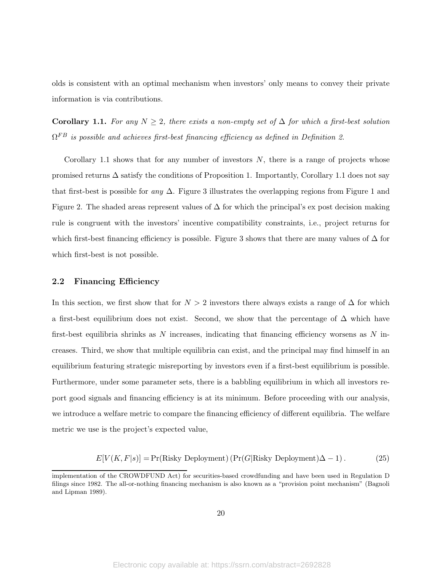olds is consistent with an optimal mechanism when investors' only means to convey their private information is via contributions.

Corollary 1.1. For any  $N \geq 2$ , there exists a non-empty set of  $\Delta$  for which a first-best solution  $\Omega^{FB}$  is possible and achieves first-best financing efficiency as defined in Definition 2.

Corollary 1.1 shows that for any number of investors  $N$ , there is a range of projects whose promised returns  $\Delta$  satisfy the conditions of Proposition 1. Importantly, Corollary 1.1 does not say that first-best is possible for any  $\Delta$ . Figure 3 illustrates the overlapping regions from Figure 1 and Figure 2. The shaded areas represent values of  $\Delta$  for which the principal's ex post decision making rule is congruent with the investors' incentive compatibility constraints, i.e., project returns for which first-best financing efficiency is possible. Figure 3 shows that there are many values of  $\Delta$  for which first-best is not possible.

### 2.2 Financing Efficiency

In this section, we first show that for  $N > 2$  investors there always exists a range of  $\Delta$  for which a first-best equilibrium does not exist. Second, we show that the percentage of  $\Delta$  which have first-best equilibria shrinks as N increases, indicating that financing efficiency worsens as N increases. Third, we show that multiple equilibria can exist, and the principal may find himself in an equilibrium featuring strategic misreporting by investors even if a first-best equilibrium is possible. Furthermore, under some parameter sets, there is a babbling equilibrium in which all investors report good signals and financing efficiency is at its minimum. Before proceeding with our analysis, we introduce a welfare metric to compare the financing efficiency of different equilibria. The welfare metric we use is the project's expected value,

$$
E[V(K, F|s)] = Pr(Risky Deplogment) (Pr(G|Risky Deplogment) \Delta - 1).
$$
 (25)

implementation of the CROWDFUND Act) for securities-based crowdfunding and have been used in Regulation D filings since 1982. The all-or-nothing financing mechanism is also known as a "provision point mechanism" (Bagnoli and Lipman 1989).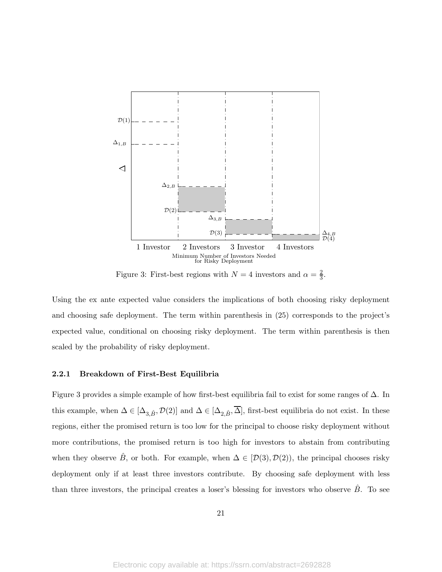

Figure 3: First-best regions with  $N=4$  investors and  $\alpha=\frac{2}{3}$  $\frac{2}{3}$ .

Using the ex ante expected value considers the implications of both choosing risky deployment and choosing safe deployment. The term within parenthesis in (25) corresponds to the project's expected value, conditional on choosing risky deployment. The term within parenthesis is then scaled by the probability of risky deployment.

### 2.2.1 Breakdown of First-Best Equilibria

Figure 3 provides a simple example of how first-best equilibria fail to exist for some ranges of ∆. In this example, when  $\Delta \in [\Delta_{3,\hat{B}}, \mathcal{D}(2)]$  and  $\Delta \in [\Delta_{2,\hat{B}}, \overline{\Delta}]$ , first-best equilibria do not exist. In these regions, either the promised return is too low for the principal to choose risky deployment without more contributions, the promised return is too high for investors to abstain from contributing when they observe B<sup> $\hat{B}$ </sup>, or both. For example, when  $\Delta \in [\mathcal{D}(3), \mathcal{D}(2)]$ , the principal chooses risky deployment only if at least three investors contribute. By choosing safe deployment with less than three investors, the principal creates a loser's blessing for investors who observe  $\hat{B}$ . To see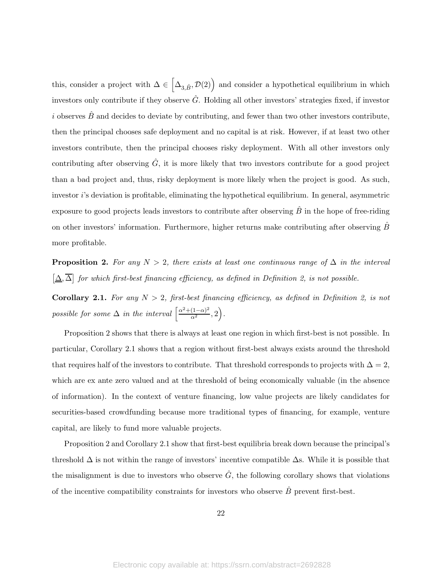this, consider a project with  $\Delta \in \left[\Delta_{3,\hat{B}}, \mathcal{D}(2)\right)$  and consider a hypothetical equilibrium in which investors only contribute if they observe G. Holding all other investors' strategies fixed, if investor  $i$  observes  $B$  and decides to deviate by contributing, and fewer than two other investors contribute. then the principal chooses safe deployment and no capital is at risk. However, if at least two other investors contribute, then the principal chooses risky deployment. With all other investors only contributing after observing  $\hat{G}$ , it is more likely that two investors contribute for a good project than a bad project and, thus, risky deployment is more likely when the project is good. As such, investor i's deviation is profitable, eliminating the hypothetical equilibrium. In general, asymmetric exposure to good projects leads investors to contribute after observing  $B$  in the hope of free-riding on other investors' information. Furthermore, higher returns make contributing after observing  $B$ more profitable.

**Proposition 2.** For any  $N > 2$ , there exists at least one continuous range of  $\Delta$  in the interval  $\left[\Delta,\overline{\Delta}\right]$  for which first-best financing efficiency, as defined in Definition 2, is not possible.

**Corollary 2.1.** For any  $N > 2$ , first-best financing efficiency, as defined in Definition 2, is not possible for some  $\Delta$  in the interval  $\left[\frac{\alpha^2 + (1-\alpha)^2}{\alpha^2}, 2\right)$ .

Proposition 2 shows that there is always at least one region in which first-best is not possible. In particular, Corollary 2.1 shows that a region without first-best always exists around the threshold that requires half of the investors to contribute. That threshold corresponds to projects with  $\Delta = 2$ , which are ex ante zero valued and at the threshold of being economically valuable (in the absence of information). In the context of venture financing, low value projects are likely candidates for securities-based crowdfunding because more traditional types of financing, for example, venture capital, are likely to fund more valuable projects.

Proposition 2 and Corollary 2.1 show that first-best equilibria break down because the principal's threshold  $\Delta$  is not within the range of investors' incentive compatible  $\Delta$ s. While it is possible that the misalignment is due to investors who observe  $\hat{G}$ , the following corollary shows that violations of the incentive compatibility constraints for investors who observe  $\hat{B}$  prevent first-best.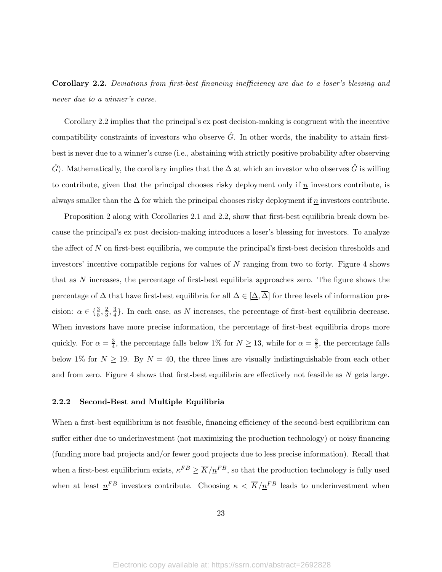Corollary 2.2. Deviations from first-best financing inefficiency are due to a loser's blessing and never due to a winner's curse.

Corollary 2.2 implies that the principal's ex post decision-making is congruent with the incentive compatibility constraints of investors who observe  $\hat{G}$ . In other words, the inability to attain firstbest is never due to a winner's curse (i.e., abstaining with strictly positive probability after observing  $\hat{G}$ ). Mathematically, the corollary implies that the  $\Delta$  at which an investor who observes  $\hat{G}$  is willing to contribute, given that the principal chooses risky deployment only if  $n$  investors contribute, is always smaller than the  $\Delta$  for which the principal chooses risky deployment if  $\underline{n}$  investors contribute.

Proposition 2 along with Corollaries 2.1 and 2.2, show that first-best equilibria break down because the principal's ex post decision-making introduces a loser's blessing for investors. To analyze the affect of N on first-best equilibria, we compute the principal's first-best decision thresholds and investors' incentive compatible regions for values of N ranging from two to forty. Figure 4 shows that as N increases, the percentage of first-best equilibria approaches zero. The figure shows the percentage of  $\Delta$  that have first-best equilibria for all  $\Delta \in [\underline{\Delta}, \overline{\Delta}]$  for three levels of information precision:  $\alpha \in \{\frac{3}{5}, \frac{2}{3}$  $\frac{2}{3}, \frac{3}{4}$  $\frac{3}{4}$ . In each case, as N increases, the percentage of first-best equilibria decrease. When investors have more precise information, the percentage of first-best equilibria drops more quickly. For  $\alpha = \frac{3}{4}$  $\frac{3}{4}$ , the percentage falls below 1% for  $N \ge 13$ , while for  $\alpha = \frac{2}{3}$  $\frac{2}{3}$ , the percentage falls below 1% for  $N \ge 19$ . By  $N = 40$ , the three lines are visually indistinguishable from each other and from zero. Figure 4 shows that first-best equilibria are effectively not feasible as N gets large.

### 2.2.2 Second-Best and Multiple Equilibria

When a first-best equilibrium is not feasible, financing efficiency of the second-best equilibrium can suffer either due to underinvestment (not maximizing the production technology) or noisy financing (funding more bad projects and/or fewer good projects due to less precise information). Recall that when a first-best equilibrium exists,  $\kappa^{FB} \ge \overline{K}/n^{FB}$ , so that the production technology is fully used when at least  $n^{FB}$  investors contribute. Choosing  $\kappa < \overline{K}/n^{FB}$  leads to underinvestment when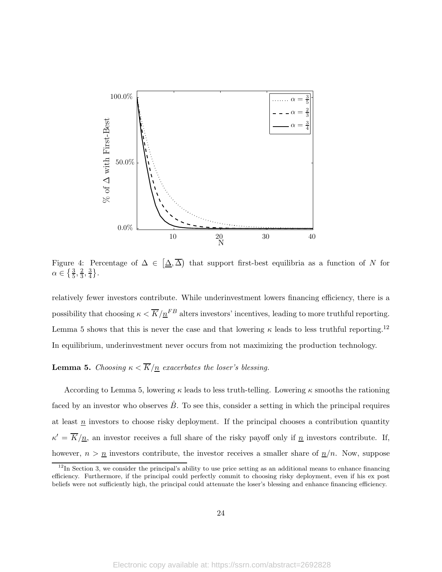

Figure 4: Percentage of  $\Delta \in [\Delta, \overline{\Delta}]$  that support first-best equilibria as a function of N for  $\alpha \in \left\{\frac{3}{5}, \frac{2}{3}\right\}$  $\frac{2}{3}, \frac{3}{4}$  $\frac{3}{4}$ .

relatively fewer investors contribute. While underinvestment lowers financing efficiency, there is a possibility that choosing  $\kappa < \overline{K}/\underline{n}^{FB}$  alters investors' incentives, leading to more truthful reporting. Lemma 5 shows that this is never the case and that lowering  $\kappa$  leads to less truthful reporting.<sup>12</sup> In equilibrium, underinvestment never occurs from not maximizing the production technology.

# **Lemma 5.** Choosing  $\kappa < \overline{K}/n$  exacerbates the loser's blessing.

According to Lemma 5, lowering  $\kappa$  leads to less truth-telling. Lowering  $\kappa$  smooths the rationing faced by an investor who observes  $B$ . To see this, consider a setting in which the principal requires at least  $\overline{n}$  investors to choose risky deployment. If the principal chooses a contribution quantity  $\kappa' = \overline{K}/\underline{n}$ , an investor receives a full share of the risky payoff only if  $\underline{n}$  investors contribute. If, however,  $n > \underline{n}$  investors contribute, the investor receives a smaller share of  $\underline{n}/n$ . Now, suppose

 $12$ In Section 3, we consider the principal's ability to use price setting as an additional means to enhance financing efficiency. Furthermore, if the principal could perfectly commit to choosing risky deployment, even if his ex post beliefs were not sufficiently high, the principal could attenuate the loser's blessing and enhance financing efficiency.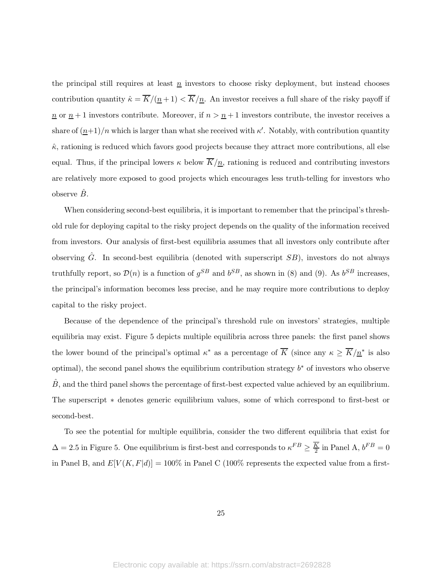the principal still requires at least  $\underline{n}$  investors to choose risky deployment, but instead chooses contribution quantity  $\hat{\kappa} = \overline{K}/(\underline{n}+1) < \overline{K}/\underline{n}$ . An investor receives a full share of the risky payoff if  $\underline{n}$  or  $\underline{n} + 1$  investors contribute. Moreover, if  $n > \underline{n} + 1$  investors contribute, the investor receives a share of  $(\underline{n+1})/n$  which is larger than what she received with  $\kappa'$ . Notably, with contribution quantity  $\hat{\kappa}$ , rationing is reduced which favors good projects because they attract more contributions, all else equal. Thus, if the principal lowers  $\kappa$  below  $\overline{K}/n$ , rationing is reduced and contributing investors are relatively more exposed to good projects which encourages less truth-telling for investors who observe  $\ddot{B}$ .

When considering second-best equilibria, it is important to remember that the principal's threshold rule for deploying capital to the risky project depends on the quality of the information received from investors. Our analysis of first-best equilibria assumes that all investors only contribute after observing  $\hat{G}$ . In second-best equilibria (denoted with superscript  $SB$ ), investors do not always truthfully report, so  $\mathcal{D}(n)$  is a function of  $g^{SB}$  and  $b^{SB}$ , as shown in (8) and (9). As  $b^{SB}$  increases, the principal's information becomes less precise, and he may require more contributions to deploy capital to the risky project.

Because of the dependence of the principal's threshold rule on investors' strategies, multiple equilibria may exist. Figure 5 depicts multiple equilibria across three panels: the first panel shows the lower bound of the principal's optimal  $\kappa^*$  as a percentage of  $\overline{K}$  (since any  $\kappa \ge \overline{K}/\underline{n}^*$  is also optimal), the second panel shows the equilibrium contribution strategy  $b^*$  of investors who observe B, and the third panel shows the percentage of first-best expected value achieved by an equilibrium. The superscript ∗ denotes generic equilibrium values, some of which correspond to first-best or second-best.

To see the potential for multiple equilibria, consider the two different equilibria that exist for  $\Delta = 2.5$  in Figure 5. One equilibrium is first-best and corresponds to  $\kappa^{FB} \ge \frac{K}{2}$  $\frac{K}{2}$  in Panel A,  $b^{FB} = 0$ in Panel B, and  $E[V(K, F|d)] = 100\%$  in Panel C (100% represents the expected value from a first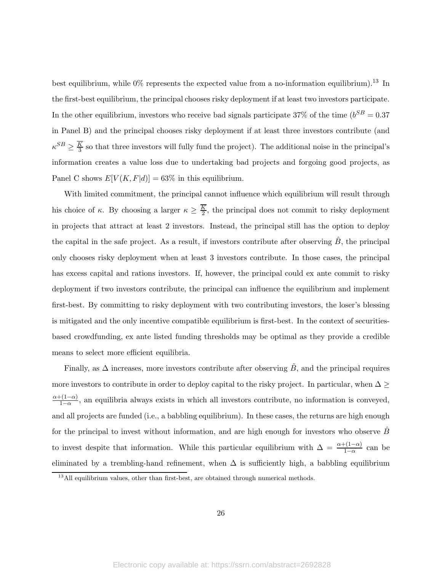best equilibrium, while  $0\%$  represents the expected value from a no-information equilibrium).<sup>13</sup> In the first-best equilibrium, the principal chooses risky deployment if at least two investors participate. In the other equilibrium, investors who receive bad signals participate 37% of the time  $(b^{SB} = 0.37)$ in Panel B) and the principal chooses risky deployment if at least three investors contribute (and  $\kappa^{SB} \geq \frac{K}{3}$  $\frac{1}{3}$  so that three investors will fully fund the project). The additional noise in the principal's information creates a value loss due to undertaking bad projects and forgoing good projects, as Panel C shows  $E[V(K, F|d)] = 63\%$  in this equilibrium.

With limited commitment, the principal cannot influence which equilibrium will result through his choice of  $\kappa$ . By choosing a larger  $\kappa \geq \frac{K}{2}$  $\frac{\kappa}{2}$ , the principal does not commit to risky deployment in projects that attract at least 2 investors. Instead, the principal still has the option to deploy the capital in the safe project. As a result, if investors contribute after observing  $B$ , the principal only chooses risky deployment when at least 3 investors contribute. In those cases, the principal has excess capital and rations investors. If, however, the principal could ex ante commit to risky deployment if two investors contribute, the principal can influence the equilibrium and implement first-best. By committing to risky deployment with two contributing investors, the loser's blessing is mitigated and the only incentive compatible equilibrium is first-best. In the context of securitiesbased crowdfunding, ex ante listed funding thresholds may be optimal as they provide a credible means to select more efficient equilibria.

Finally, as  $\Delta$  increases, more investors contribute after observing  $\hat{B}$ , and the principal requires more investors to contribute in order to deploy capital to the risky project. In particular, when  $\Delta \geq$  $\alpha+(1-\alpha)$  $\frac{1-\alpha}{1-\alpha}$ , an equilibria always exists in which all investors contribute, no information is conveyed, and all projects are funded (i.e., a babbling equilibrium). In these cases, the returns are high enough for the principal to invest without information, and are high enough for investors who observe  $B$ to invest despite that information. While this particular equilibrium with  $\Delta = \frac{\alpha + (1-\alpha)}{1-\alpha}$  can be eliminated by a trembling-hand refinement, when  $\Delta$  is sufficiently high, a babbling equilibrium

 $13$  All equilibrium values, other than first-best, are obtained through numerical methods.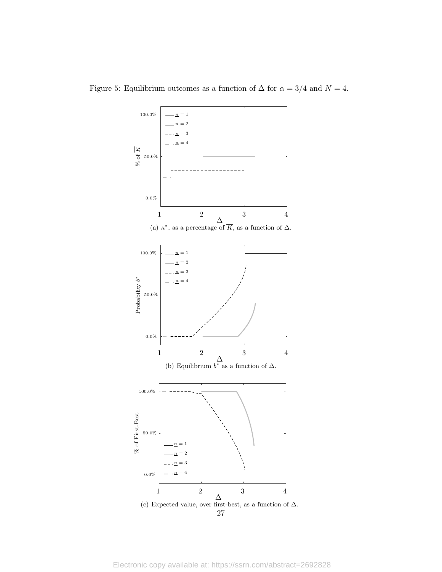

Figure 5: Equilibrium outcomes as a function of  $\Delta$  for  $\alpha = 3/4$  and  $N = 4$ .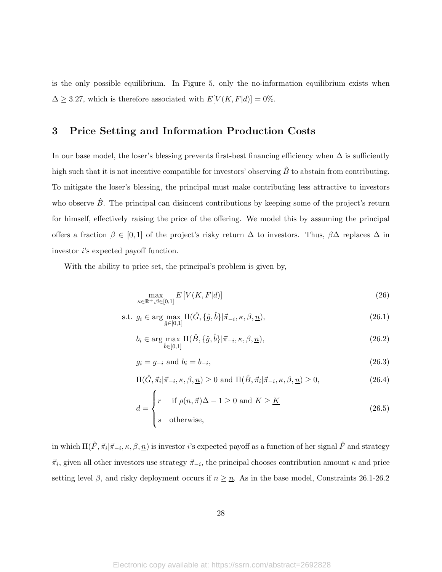is the only possible equilibrium. In Figure 5, only the no-information equilibrium exists when  $\Delta \geq 3.27$ , which is therefore associated with  $E[V(K, F|d)] = 0\%$ .

# 3 Price Setting and Information Production Costs

In our base model, the loser's blessing prevents first-best financing efficiency when  $\Delta$  is sufficiently high such that it is not incentive compatible for investors' observing  $\hat{B}$  to abstain from contributing. To mitigate the loser's blessing, the principal must make contributing less attractive to investors who observe  $\ddot{B}$ . The principal can disincent contributions by keeping some of the project's return for himself, effectively raising the price of the offering. We model this by assuming the principal offers a fraction  $\beta \in [0,1]$  of the project's risky return  $\Delta$  to investors. Thus,  $\beta\Delta$  replaces  $\Delta$  in investor i's expected payoff function.

With the ability to price set, the principal's problem is given by,

$$
\max_{\kappa \in \mathbb{R}^+, \beta \in [0,1]} E\left[V(K, F|d)\right] \tag{26}
$$

s.t. 
$$
g_i \in \arg\max_{\hat{g}\in[0,1]} \Pi(\hat{G}, \{\hat{g}, \hat{b}\} | \vec{\pi}_{-i}, \kappa, \beta, \underline{n}),
$$
 (26.1)

$$
b_i \in \arg\max_{\hat{b}\in[0,1]} \Pi(\hat{B}, \{\hat{g}, \hat{b}\}|\vec{\pi}_{-i}, \kappa, \beta, \underline{n}),\tag{26.2}
$$

$$
g_i = g_{-i} \text{ and } b_i = b_{-i}, \tag{26.3}
$$

$$
\Pi(\hat{G}, \vec{\pi}_i | \vec{\pi}_{-i}, \kappa, \beta, \underline{n}) \ge 0 \text{ and } \Pi(\hat{B}, \vec{\pi}_i | \vec{\pi}_{-i}, \kappa, \beta, \underline{n}) \ge 0,
$$
\n(26.4)

$$
d = \begin{cases} r & \text{if } \rho(n, \vec{\pi})\Delta - 1 \ge 0 \text{ and } K \ge \underline{K} \\ s & \text{otherwise,} \end{cases}
$$
 (26.5)

in which  $\Pi(\hat{F},\vec{\pi}_i|\vec{\pi}_{-i},\kappa,\beta,\underline{n})$  is investor  $i$ 's expected payoff as a function of her signal  $\hat{F}$  and strategy  $\vec{\pi}_i$ , given all other investors use strategy  $\vec{\pi}_{-i}$ , the principal chooses contribution amount  $\kappa$  and price setting level  $\beta$ , and risky deployment occurs if  $n \geq n$ . As in the base model, Constraints 26.1-26.2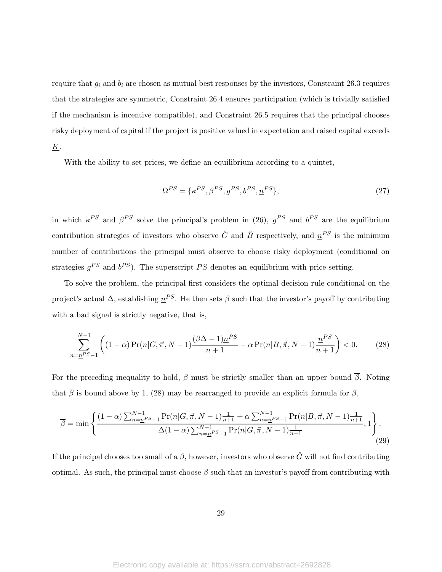require that  $g_i$  and  $b_i$  are chosen as mutual best responses by the investors, Constraint 26.3 requires that the strategies are symmetric, Constraint 26.4 ensures participation (which is trivially satisfied if the mechanism is incentive compatible), and Constraint 26.5 requires that the principal chooses risky deployment of capital if the project is positive valued in expectation and raised capital exceeds  $\underline{K}$ .

With the ability to set prices, we define an equilibrium according to a quintet,

$$
\Omega^{PS} = \{\kappa^{PS}, \beta^{PS}, g^{PS}, b^{PS}, \underline{n}^{PS}\},\tag{27}
$$

in which  $\kappa^{PS}$  and  $\beta^{PS}$  solve the principal's problem in (26),  $g^{PS}$  and  $b^{PS}$  are the equilibrium contribution strategies of investors who observe  $\hat{G}$  and  $\hat{B}$  respectively, and  $\underline{n}^{PS}$  is the minimum number of contributions the principal must observe to choose risky deployment (conditional on strategies  $g^{PS}$  and  $b^{PS}$ ). The superscript PS denotes an equilibrium with price setting.

To solve the problem, the principal first considers the optimal decision rule conditional on the project's actual  $\Delta$ , establishing  $n^{PS}$ . He then sets  $\beta$  such that the investor's payoff by contributing with a bad signal is strictly negative, that is,

$$
\sum_{n=\underline{n}^{PS}-1}^{N-1} \left( (1-\alpha) \Pr(n|G,\vec{\pi},N-1) \frac{(\beta \Delta - 1)\underline{n}^{PS}}{n+1} - \alpha \Pr(n|B,\vec{\pi},N-1) \frac{\underline{n}^{PS}}{n+1} \right) < 0. \tag{28}
$$

For the preceding inequality to hold,  $\beta$  must be strictly smaller than an upper bound  $\overline{\beta}$ . Noting that  $\overline{\beta}$  is bound above by 1, (28) may be rearranged to provide an explicit formula for  $\overline{\beta}$ ,

$$
\overline{\beta} = \min \left\{ \frac{(1-\alpha)\sum_{n=\underline{n}}^{N-1} \Pr(n|G,\vec{\pi},N-1)\frac{1}{n+1} + \alpha \sum_{n=\underline{n}}^{N-1} \Pr(n|B,\vec{\pi},N-1)\frac{1}{n+1}}{\Delta(1-\alpha)\sum_{n=\underline{n}}^{N-1} \Pr(n|G,\vec{\pi},N-1)\frac{1}{n+1}},1 \right\}.
$$
\n(29)

If the principal chooses too small of a  $\beta$ , however, investors who observe  $\hat{G}$  will not find contributing optimal. As such, the principal must choose  $\beta$  such that an investor's payoff from contributing with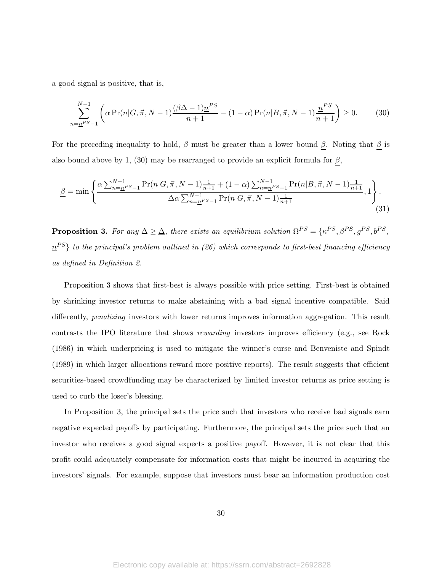a good signal is positive, that is,

$$
\sum_{n=\underline{n}^{PS}-1}^{N-1} \left( \alpha \Pr(n|G,\vec{\pi},N-1) \frac{(\beta \Delta - 1)\underline{n}^{PS}}{n+1} - (1-\alpha) \Pr(n|B,\vec{\pi},N-1) \frac{\underline{n}^{PS}}{n+1} \right) \ge 0. \tag{30}
$$

For the preceding inequality to hold,  $\beta$  must be greater than a lower bound  $\underline{\beta}$ . Noting that  $\underline{\beta}$  is also bound above by 1, (30) may be rearranged to provide an explicit formula for  $\underline{\beta}$ ,

$$
\underline{\beta} = \min \left\{ \frac{\alpha \sum_{n=\underline{n}}^{N-1} \Pr(n|G,\vec{\pi},N-1) \frac{1}{n+1} + (1-\alpha) \sum_{n=\underline{n}}^{N-1} \Pr(n|B,\vec{\pi},N-1) \frac{1}{n+1}}{\Delta \alpha \sum_{n=\underline{n}}^{N-1} \Pr(n|G,\vec{\pi},N-1) \frac{1}{n+1}}, 1 \right\}.
$$
\n(31)

Proposition 3. For any ∆ ≥ ∆, there exists an equilibrium solution Ω P S = {κ P S, βP S, gP S, bP S ,  $n^{PS}$ } to the principal's problem outlined in (26) which corresponds to first-best financing efficiency as defined in Definition 2.

Proposition 3 shows that first-best is always possible with price setting. First-best is obtained by shrinking investor returns to make abstaining with a bad signal incentive compatible. Said differently, *penalizing* investors with lower returns improves information aggregation. This result contrasts the IPO literature that shows rewarding investors improves efficiency (e.g., see Rock (1986) in which underpricing is used to mitigate the winner's curse and Benveniste and Spindt (1989) in which larger allocations reward more positive reports). The result suggests that efficient securities-based crowdfunding may be characterized by limited investor returns as price setting is used to curb the loser's blessing.

In Proposition 3, the principal sets the price such that investors who receive bad signals earn negative expected payoffs by participating. Furthermore, the principal sets the price such that an investor who receives a good signal expects a positive payoff. However, it is not clear that this profit could adequately compensate for information costs that might be incurred in acquiring the investors' signals. For example, suppose that investors must bear an information production cost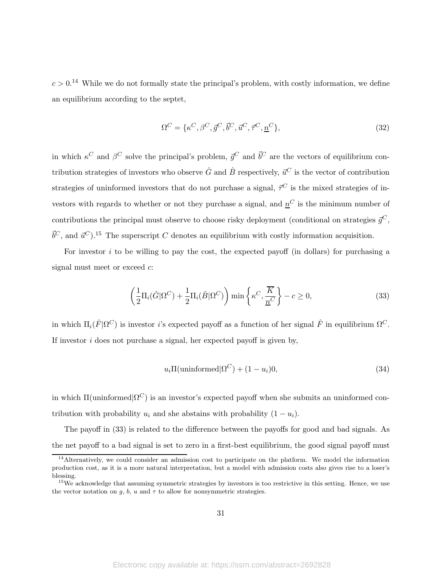$c > 0$ <sup>14</sup> While we do not formally state the principal's problem, with costly information, we define an equilibrium according to the septet,

$$
\Omega^C = \{\kappa^C, \beta^C, \vec{g}^C, \vec{b}^C, \vec{u}^C, \vec{\tau}^C, \underline{n}^C\},\tag{32}
$$

in which  $\kappa^C$  and  $\beta^C$  solve the principal's problem,  $\vec{g}^C$  and  $\vec{b}^C$  are the vectors of equilibrium contribution strategies of investors who observe  $\hat{G}$  and  $\hat{B}$  respectively,  $\vec{u}^C$  is the vector of contribution strategies of uninformed investors that do not purchase a signal,  $\vec{\tau}^C$  is the mixed strategies of investors with regards to whether or not they purchase a signal, and  $n<sup>C</sup>$  is the minimum number of contributions the principal must observe to choose risky deployment (conditional on strategies  $\vec{q}^C$ ,  $\vec{b}^C$ , and  $\vec{u}^C$ ).<sup>15</sup> The superscript C denotes an equilibrium with costly information acquisition.

For investor  $i$  to be willing to pay the cost, the expected payoff (in dollars) for purchasing a signal must meet or exceed  $c$ :

$$
\left(\frac{1}{2}\Pi_i(\hat{G}|\Omega^C) + \frac{1}{2}\Pi_i(\hat{B}|\Omega^C)\right)\min\left\{\kappa^C, \frac{\overline{K}}{\underline{n}^C}\right\} - c \ge 0,
$$
\n(33)

in which  $\Pi_i(\hat{F}|\Omega^C)$  is investor *i*'s expected payoff as a function of her signal  $\hat{F}$  in equilibrium  $\Omega^C$ . If investor  $i$  does not purchase a signal, her expected payoff is given by,

$$
u_i \Pi(\text{uninformed}|\Omega^C) + (1 - u_i)0,\tag{34}
$$

in which  $\Pi$ (uninformed $|\Omega^C|$ ) is an investor's expected payoff when she submits an uninformed contribution with probability  $u_i$  and she abstains with probability  $(1 - u_i)$ .

The payoff in (33) is related to the difference between the payoffs for good and bad signals. As the net payoff to a bad signal is set to zero in a first-best equilibrium, the good signal payoff must

<sup>&</sup>lt;sup>14</sup>Alternatively, we could consider an admission cost to participate on the platform. We model the information production cost, as it is a more natural interpretation, but a model with admission costs also gives rise to a loser's blessing.

<sup>&</sup>lt;sup>15</sup>We acknowledge that assuming symmetric strategies by investors is too restrictive in this setting. Hence, we use the vector notation on q, b, u and  $\tau$  to allow for nonsymmetric strategies.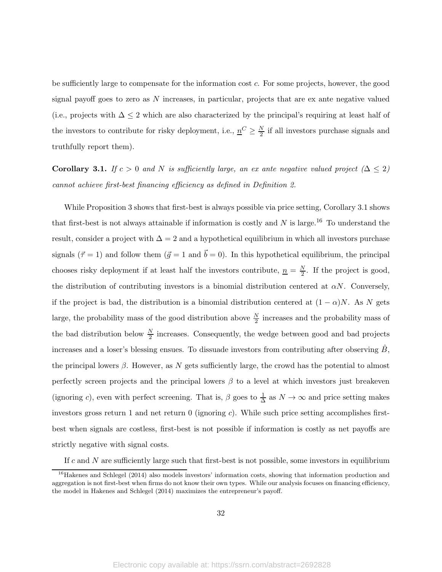be sufficiently large to compensate for the information cost c. For some projects, however, the good signal payoff goes to zero as  $N$  increases, in particular, projects that are ex ante negative valued (i.e., projects with  $\Delta \leq 2$  which are also characterized by the principal's requiring at least half of the investors to contribute for risky deployment, i.e.,  $\underline{n}^C \geq \frac{N}{2}$  if all investors purchase signals and truthfully report them).

Corollary 3.1. If  $c > 0$  and N is sufficiently large, an ex ante negative valued project  $(\Delta \leq 2)$ cannot achieve first-best financing efficiency as defined in Definition 2.

While Proposition 3 shows that first-best is always possible via price setting, Corollary 3.1 shows that first-best is not always attainable if information is costly and  $N$  is large.<sup>16</sup> To understand the result, consider a project with  $\Delta = 2$  and a hypothetical equilibrium in which all investors purchase signals  $({\vec \tau} = 1)$  and follow them  $({\vec g} = 1$  and  ${\vec b} = 0)$ . In this hypothetical equilibrium, the principal chooses risky deployment if at least half the investors contribute,  $\underline{n} = \frac{N}{2}$ . If the project is good, the distribution of contributing investors is a binomial distribution centered at  $\alpha N$ . Conversely, if the project is bad, the distribution is a binomial distribution centered at  $(1 - \alpha)N$ . As N gets large, the probability mass of the good distribution above  $\frac{N}{2}$  increases and the probability mass of the bad distribution below  $\frac{N}{2}$  increases. Consequently, the wedge between good and bad projects increases and a loser's blessing ensues. To dissuade investors from contributing after observing  $\tilde{B}$ , the principal lowers  $\beta$ . However, as N gets sufficiently large, the crowd has the potential to almost perfectly screen projects and the principal lowers  $\beta$  to a level at which investors just breakeven (ignoring c), even with perfect screening. That is,  $\beta$  goes to  $\frac{1}{\Delta}$  as  $N \to \infty$  and price setting makes investors gross return 1 and net return  $\theta$  (ignoring c). While such price setting accomplishes firstbest when signals are costless, first-best is not possible if information is costly as net payoffs are strictly negative with signal costs.

If c and N are sufficiently large such that first-best is not possible, some investors in equilibrium

<sup>&</sup>lt;sup>16</sup>Hakenes and Schlegel (2014) also models investors' information costs, showing that information production and aggregation is not first-best when firms do not know their own types. While our analysis focuses on financing efficiency, the model in Hakenes and Schlegel (2014) maximizes the entrepreneur's payoff.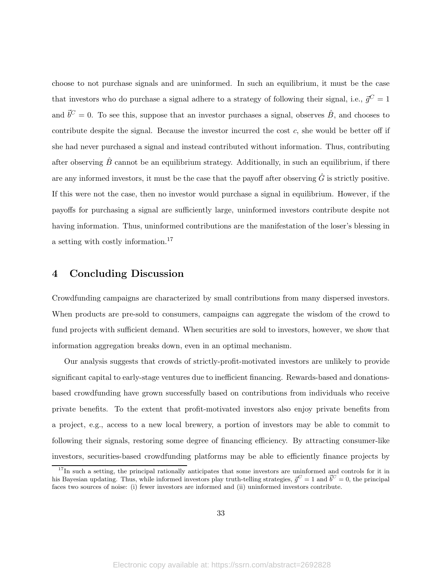choose to not purchase signals and are uninformed. In such an equilibrium, it must be the case that investors who do purchase a signal adhere to a strategy of following their signal, i.e.,  $\vec{g}^C = 1$ and  $\vec{b}^C = 0$ . To see this, suppose that an investor purchases a signal, observes  $\hat{B}$ , and chooses to contribute despite the signal. Because the investor incurred the cost  $c$ , she would be better off if she had never purchased a signal and instead contributed without information. Thus, contributing after observing  $\hat{B}$  cannot be an equilibrium strategy. Additionally, in such an equilibrium, if there are any informed investors, it must be the case that the payoff after observing  $\hat{G}$  is strictly positive. If this were not the case, then no investor would purchase a signal in equilibrium. However, if the payoffs for purchasing a signal are sufficiently large, uninformed investors contribute despite not having information. Thus, uninformed contributions are the manifestation of the loser's blessing in a setting with costly information.<sup>17</sup>

## 4 Concluding Discussion

Crowdfunding campaigns are characterized by small contributions from many dispersed investors. When products are pre-sold to consumers, campaigns can aggregate the wisdom of the crowd to fund projects with sufficient demand. When securities are sold to investors, however, we show that information aggregation breaks down, even in an optimal mechanism.

Our analysis suggests that crowds of strictly-profit-motivated investors are unlikely to provide significant capital to early-stage ventures due to inefficient financing. Rewards-based and donationsbased crowdfunding have grown successfully based on contributions from individuals who receive private benefits. To the extent that profit-motivated investors also enjoy private benefits from a project, e.g., access to a new local brewery, a portion of investors may be able to commit to following their signals, restoring some degree of financing efficiency. By attracting consumer-like investors, securities-based crowdfunding platforms may be able to efficiently finance projects by

 $17$ In such a setting, the principal rationally anticipates that some investors are uninformed and controls for it in his Bayesian updating. Thus, while informed investors play truth-telling strategies,  $\vec{g}^C = 1$  and  $\vec{b}^C = 0$ , the principal faces two sources of noise: (i) fewer investors are informed and (ii) uninformed investors contribute.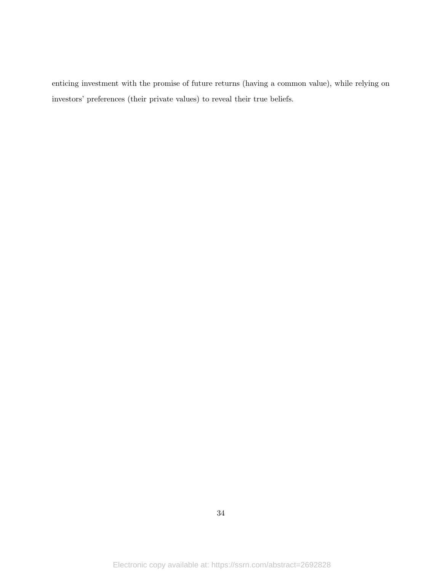enticing investment with the promise of future returns (having a common value), while relying on investors' preferences (their private values) to reveal their true beliefs.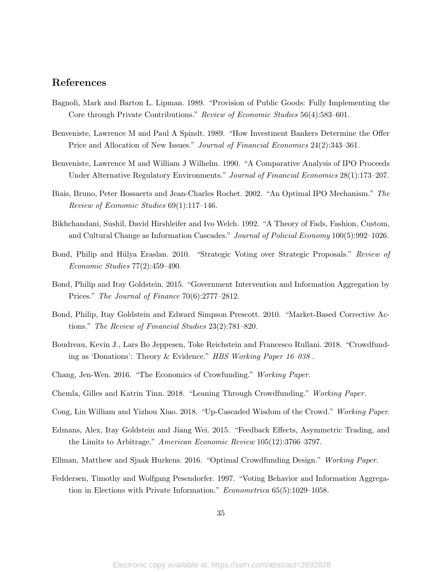## References

- Bagnoli, Mark and Barton L. Lipman. 1989. "Provision of Public Goods: Fully Implementing the Core through Private Contributions." Review of Economic Studies 56(4):583–601.
- Benveniste, Lawrence M and Paul A Spindt. 1989. "How Investment Bankers Determine the Offer Price and Allocation of New Issues." Journal of Financial Economics 24(2):343–361.
- Benveniste, Lawrence M and William J Wilhelm. 1990. "A Comparative Analysis of IPO Proceeds Under Alternative Regulatory Environments." Journal of Financial Economics 28(1):173–207.
- Biais, Bruno, Peter Bossaerts and Jean-Charles Rochet. 2002. "An Optimal IPO Mechanism." The Review of Economic Studies 69(1):117–146.
- Bikhchandani, Sushil, David Hirshleifer and Ivo Welch. 1992. "A Theory of Fads, Fashion, Custom, and Cultural Change as Information Cascades." Journal of Policial Economy 100(5):992–1026.
- Bond, Philip and Hülya Eraslan. 2010. "Strategic Voting over Strategic Proposals." Review of Economic Studies 77(2):459–490.
- Bond, Philip and Itay Goldstein. 2015. "Government Intervention and Information Aggregation by Prices." The Journal of Finance 70(6):2777–2812.
- Bond, Philip, Itay Goldstein and Edward Simpson Prescott. 2010. "Market-Based Corrective Actions." The Review of Financial Studies 23(2):781–820.
- Boudreau, Kevin J., Lars Bo Jeppesen, Toke Reichstein and Francesco Rullani. 2018. "Crowdfunding as 'Donations': Theory & Evidence." HBS Working Paper 16–038 .
- Chang, Jen-Wen. 2016. "The Economics of Crowfunding." Working Paper.
- Chemla, Gilles and Katrin Tinn. 2018. "Leaning Through Crowdfunding." Working Paper.
- Cong, Lin William and Yizhou Xiao. 2018. "Up-Cascaded Wisdom of the Crowd." Working Paper.
- Edmans, Alex, Itay Goldstein and Jiang Wei. 2015. "Feedback Effects, Asymmetric Trading, and the Limits to Arbitrage." American Economic Review 105(12):3766–3797.
- Ellman, Matthew and Sjaak Hurkens. 2016. "Optimal Crowdfunding Design." Working Paper.
- Feddersen, Timothy and Wolfgang Pesendorfer. 1997. "Voting Behavior and Information Aggregation in Elections with Private Information." Econometrica 65(5):1029–1058.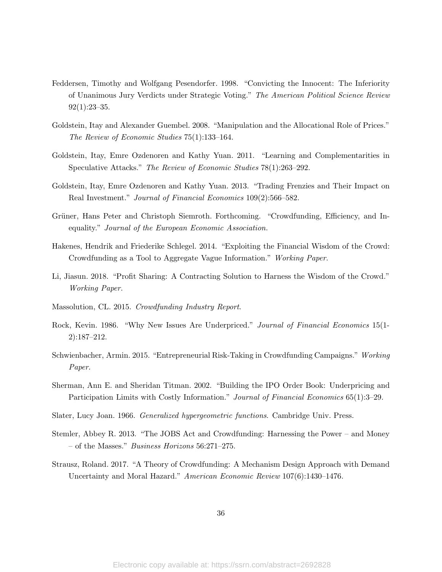- Feddersen, Timothy and Wolfgang Pesendorfer. 1998. "Convicting the Innocent: The Inferiority of Unanimous Jury Verdicts under Strategic Voting." The American Political Science Review  $92(1):23-35.$
- Goldstein, Itay and Alexander Guembel. 2008. "Manipulation and the Allocational Role of Prices." The Review of Economic Studies 75(1):133–164.
- Goldstein, Itay, Emre Ozdenoren and Kathy Yuan. 2011. "Learning and Complementarities in Speculative Attacks." The Review of Economic Studies 78(1):263–292.
- Goldstein, Itay, Emre Ozdenoren and Kathy Yuan. 2013. "Trading Frenzies and Their Impact on Real Investment." Journal of Financial Economics 109(2):566–582.
- Grüner, Hans Peter and Christoph Siemroth. Forthcoming. "Crowdfunding, Efficiency, and Inequality." Journal of the European Economic Association.
- Hakenes, Hendrik and Friederike Schlegel. 2014. "Exploiting the Financial Wisdom of the Crowd: Crowdfunding as a Tool to Aggregate Vague Information." Working Paper.
- Li, Jiasun. 2018. "Profit Sharing: A Contracting Solution to Harness the Wisdom of the Crowd." Working Paper.
- Massolution, CL. 2015. Crowdfunding Industry Report.
- Rock, Kevin. 1986. "Why New Issues Are Underpriced." Journal of Financial Economics 15(1- 2):187–212.
- Schwienbacher, Armin. 2015. "Entrepreneurial Risk-Taking in Crowdfunding Campaigns." Working Paper.
- Sherman, Ann E. and Sheridan Titman. 2002. "Building the IPO Order Book: Underpricing and Participation Limits with Costly Information." Journal of Financial Economics 65(1):3–29.
- Slater, Lucy Joan. 1966. Generalized hypergeometric functions. Cambridge Univ. Press.
- Stemler, Abbey R. 2013. "The JOBS Act and Crowdfunding: Harnessing the Power and Money – of the Masses." Business Horizons 56:271–275.
- Strausz, Roland. 2017. "A Theory of Crowdfunding: A Mechanism Design Approach with Demand Uncertainty and Moral Hazard." American Economic Review 107(6):1430–1476.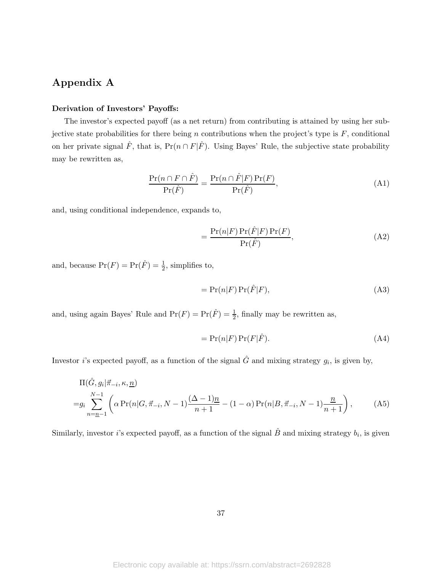# Appendix A

### Derivation of Investors' Payoffs:

The investor's expected payoff (as a net return) from contributing is attained by using her subjective state probabilities for there being n contributions when the project's type is  $F$ , conditional on her private signal  $\hat{F}$ , that is, Pr $(n \cap F|\hat{F})$ . Using Bayes' Rule, the subjective state probability may be rewritten as,

$$
\frac{\Pr(n \cap F \cap \hat{F})}{\Pr(\hat{F})} = \frac{\Pr(n \cap \hat{F}|F)\Pr(F)}{\Pr(\hat{F})},\tag{A1}
$$

and, using conditional independence, expands to,

$$
= \frac{\Pr(n|F)\Pr(\hat{F}|F)\Pr(F)}{\Pr(\hat{F})},\tag{A2}
$$

and, because  $Pr(F) = Pr(\hat{F}) = \frac{1}{2}$ , simplifies to,

$$
= \Pr(n|F) \Pr(\hat{F}|F), \tag{A3}
$$

and, using again Bayes' Rule and  $Pr(F) = Pr(\hat{F}) = \frac{1}{2}$ , finally may be rewritten as,

$$
= \Pr(n|F)\Pr(F|\hat{F}).\tag{A4}
$$

Investor *i*'s expected payoff, as a function of the signal  $\hat{G}$  and mixing strategy  $g_i$ , is given by,

$$
\Pi(\hat{G}, g_i | \vec{\pi}_{-i}, \kappa, \underline{n})
$$
\n
$$
= g_i \sum_{n=\underline{n}-1}^{N-1} \left( \alpha \Pr(n | G, \vec{\pi}_{-i}, N-1) \frac{(\Delta - 1)\underline{n}}{n+1} - (1 - \alpha) \Pr(n | B, \vec{\pi}_{-i}, N-1) \frac{\underline{n}}{n+1} \right),
$$
\n(A5)

Similarly, investor *i*'s expected payoff, as a function of the signal  $\hat{B}$  and mixing strategy  $b_i$ , is given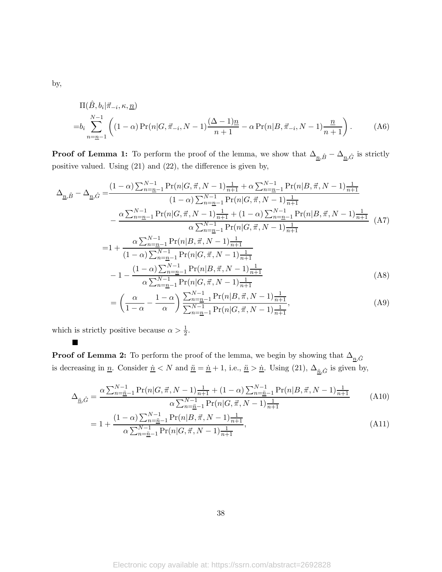$$
\Pi(\hat{B}, b_i | \vec{\pi}_{-i}, \kappa, \underline{n})
$$
\n
$$
= b_i \sum_{n=\underline{n}-1}^{N-1} \left( (1-\alpha) \Pr(n | G, \vec{\pi}_{-i}, N-1) \frac{(\Delta - 1)\underline{n}}{n+1} - \alpha \Pr(n | B, \vec{\pi}_{-i}, N-1) \frac{\underline{n}}{n+1} \right). \tag{A6}
$$

**Proof of Lemma 1:** To perform the proof of the lemma, we show that  $\Delta_{n,\hat{B}} - \Delta_{n,\hat{G}}$  is strictly positive valued. Using (21) and (22), the difference is given by,

$$
\Delta_{\underline{n},\hat{B}} - \Delta_{\underline{n},\hat{G}} = \frac{(1-\alpha)\sum_{n=\underline{n-1}}^{N-1} \Pr(n|G,\vec{\pi},N-1)\frac{1}{n+1} + \alpha \sum_{n=\underline{n-1}}^{N-1} \Pr(n|B,\vec{\pi},N-1)\frac{1}{n+1}}{(1-\alpha)\sum_{n=\underline{n-1}}^{N-1} \Pr(n|G,\vec{\pi},N-1)\frac{1}{n+1}} \newline - \frac{\alpha \sum_{n=\underline{n-1}}^{N-1} \Pr(n|G,\vec{\pi},N-1)\frac{1}{n+1} + (1-\alpha)\sum_{n=\underline{n-1}}^{N-1} \Pr(n|B,\vec{\pi},N-1)\frac{1}{n+1}}{\alpha \sum_{n=\underline{n-1}}^{N-1} \Pr(n|G,\vec{\pi},N-1)\frac{1}{n+1}} \newline - 1 + \frac{\alpha \sum_{n=\underline{n-1}}^{N-1} \Pr(n|B,\vec{\pi},N-1)\frac{1}{n+1}}{(1-\alpha)\sum_{n=\underline{n-1}}^{N-1} \Pr(n|G,\vec{\pi},N-1)\frac{1}{n+1}} \newline - 1 - \frac{(1-\alpha)\sum_{n=\underline{n-1}}^{N-1} \Pr(n|B,\vec{\pi},N-1)\frac{1}{n+1}}{\alpha \sum_{n=\underline{n-1}}^{N-1} \Pr(n|G,\vec{\pi},N-1)\frac{1}{n+1}} \newline - \left(\frac{\alpha}{1-\alpha} - \frac{1-\alpha}{\alpha}\right) \frac{\sum_{n=\underline{n-1}}^{N-1} \Pr(n|B,\vec{\pi},N-1)\frac{1}{n+1}}{\sum_{n=\underline{n-1}}^{N-1} \Pr(n|G,\vec{\pi},N-1)\frac{1}{n+1}},
$$
\n(A9)

which is strictly positive because  $\alpha > \frac{1}{2}$ .

 $\blacksquare$ 

**Proof of Lemma 2:** To perform the proof of the lemma, we begin by showing that  $\Delta_{n,\hat{G}}$ is decreasing in <u>n</u>. Consider  $\underline{\dot{n}} < N$  and  $\underline{\ddot{n}} = \underline{\dot{n}} + 1$ , i.e.,  $\underline{\ddot{n}} > \underline{\dot{n}}$ . Using (21),  $\Delta_{\underline{\ddot{n}}, \hat{G}}$  is given by,

$$
\Delta_{\underline{\vec{n}},\hat{G}} = \frac{\alpha \sum_{n=\underline{\vec{n}}-1}^{N-1} \Pr(n|G,\vec{\pi},N-1)\frac{1}{n+1} + (1-\alpha) \sum_{n=\underline{\vec{n}}-1}^{N-1} \Pr(n|B,\vec{\pi},N-1)\frac{1}{n+1}}{\alpha \sum_{n=\underline{\vec{n}}-1}^{N-1} \Pr(n|G,\vec{\pi},N-1)\frac{1}{n+1}}
$$
(A10)  

$$
(1-\alpha) \sum_{n=\underline{\vec{n}}-1}^{N-1} \Pr(n|B,\vec{\pi},N-1)\frac{1}{n+1}
$$

$$
= 1 + \frac{(1 - \alpha) \sum_{n = \underline{n}}^{N-1} Pr(n|B, \vec{\pi}, N-1) \frac{1}{n+1}}{\alpha \sum_{n = \underline{n}}^{N-1} Pr(n|G, \vec{\pi}, N-1) \frac{1}{n+1}},
$$
\n(A11)

38

by,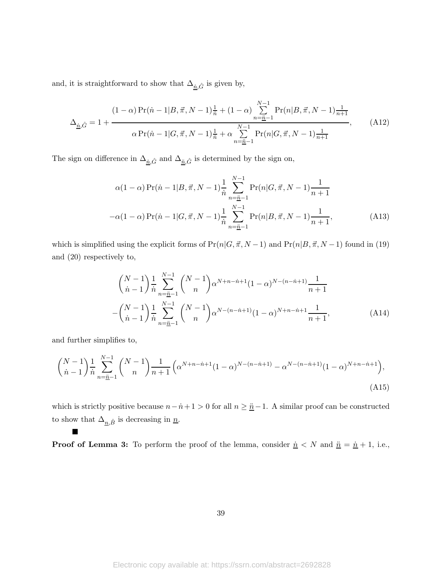and, it is straightforward to show that  $\Delta_{\underline{\vec{n}},\hat{G}}$  is given by,

$$
\Delta_{\underline{n},\hat{G}} = 1 + \frac{(1-\alpha)\Pr(\dot{n} - 1|B,\vec{\pi},N-1)\frac{1}{\dot{n}} + (1-\alpha)\sum_{n=\underline{\ddot{n}}-1}^{N-1} \Pr(n|B,\vec{\pi},N-1)\frac{1}{n+1}}{\alpha\Pr(\dot{n} - 1|G,\vec{\pi},N-1)\frac{1}{\dot{n}} + \alpha\sum_{n=\underline{\ddot{n}}-1}^{N-1} \Pr(n|G,\vec{\pi},N-1)\frac{1}{n+1}},\tag{A12}
$$

The sign on difference in  $\Delta_{\underline{n},\hat{G}}$  and  $\Delta_{\underline{n},\hat{G}}$  is determined by the sign on,

$$
\alpha(1-\alpha)\Pr(\dot{n}-1|B,\vec{\pi},N-1)\frac{1}{\dot{n}}\sum_{n=\underline{\ddot{n}}-1}^{N-1}\Pr(n|G,\vec{\pi},N-1)\frac{1}{n+1}
$$

$$
-\alpha(1-\alpha)\Pr(\dot{n}-1|G,\vec{\pi},N-1)\frac{1}{\dot{n}}\sum_{n=\underline{\ddot{n}}-1}^{N-1}\Pr(n|B,\vec{\pi},N-1)\frac{1}{n+1},
$$
(A13)

which is simplified using the explicit forms of  $Pr(n|G, \vec{\pi}, N-1)$  and  $Pr(n|B, \vec{\pi}, N-1)$  found in (19) and (20) respectively to,

$$
\binom{N-1}{n-1} \frac{1}{n} \sum_{n=\underline{n-1}}^{N-1} \binom{N-1}{n} \alpha^{N+n-n+1} (1-\alpha)^{N-(n-n+1)} \frac{1}{n+1} - \binom{N-1}{n-1} \frac{1}{n} \sum_{n=\underline{n-1}}^{N-1} \binom{N-1}{n} \alpha^{N-(n-n+1)} (1-\alpha)^{N+n-n+1} \frac{1}{n+1},
$$
\n(A14)

and further simplifies to,

 $\blacksquare$ 

$$
\binom{N-1}{\dot{n}-1} \frac{1}{\dot{n}} \sum_{n=\underline{\ddot{n}}-1}^{N-1} \binom{N-1}{n} \frac{1}{n+1} \left( \alpha^{N+n-\dot{n}+1} (1-\alpha)^{N-(n-\dot{n}+1)} - \alpha^{N-(n-\dot{n}+1)} (1-\alpha)^{N+n-\dot{n}+1} \right),\tag{A15}
$$

which is strictly positive because  $n-i+1 > 0$  for all  $n \geq \underline{n} - 1$ . A similar proof can be constructed to show that  $\Delta_{\underline{n},\hat{B}}$  is decreasing in  $\underline{n}$ .

**Proof of Lemma 3:** To perform the proof of the lemma, consider  $\underline{\dot{n}} < N$  and  $\underline{\ddot{n}} = \underline{\dot{n}} + 1$ , i.e.,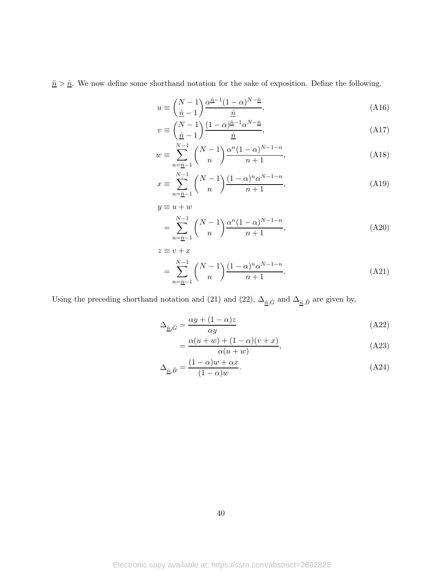$\frac{\ddot{n}}{2} > \underline{\dot{n}}$ . We now define some shorthand notation for the sake of exposition. Define the following,

$$
u \equiv \left(\frac{N-1}{\dot{\underline{n}}-1}\right) \frac{\alpha^{\dot{\underline{n}}-1} (1-\alpha)^{N-\dot{\underline{n}}}}{\dot{\underline{n}}},\tag{A16}
$$

$$
v \equiv \binom{N-1}{\underline{\dot{n}}-1} \frac{(1-\alpha)^{\underline{\dot{n}}-1} \alpha^{N-\underline{\dot{n}}}}{\underline{\dot{n}}},\tag{A17}
$$

$$
w \equiv \sum_{n=\underline{n-1}}^{N-1} {N-1 \choose n} \frac{\alpha^n (1-\alpha)^{N-1-n}}{n+1},
$$
\n(A18)

$$
x \equiv \sum_{n=\underline{n-1}}^{N-1} {N-1 \choose n} \frac{(1-\alpha)^n \alpha^{N-1-n}}{n+1},
$$
\n(A19)

$$
y \equiv u + w
$$
  
= 
$$
\sum_{n=\underline{n-1}}^{N-1} {N-1 \choose n} \frac{\alpha^n (1-\alpha)^{N-1-n}}{n+1},
$$
 (A20)

$$
z \equiv v + x
$$
  
= 
$$
\sum_{n=\underline{n-1}}^{N-1} {N-1 \choose n} \frac{(1-\alpha)^n \alpha^{N-1-n}}{n+1}.
$$
 (A21)

Using the preceding shorthand notation and (21) and (22),  $\Delta_{\underline{\vec n},\hat G}$  and  $\Delta_{\underline{\vec n},\hat B}$  are given by,

$$
\Delta_{\underline{\dot{n}},\hat{G}} = \frac{\alpha y + (1 - \alpha)z}{\alpha y} \tag{A22}
$$

$$
=\frac{\alpha(u+w)+(1-\alpha)(v+x)}{\alpha(u+w)},
$$
\n(A23)

$$
\Delta_{\underline{\ddot{n}},\hat{B}} = \frac{(1-\alpha)w + \alpha x}{(1-\alpha)w}.\tag{A24}
$$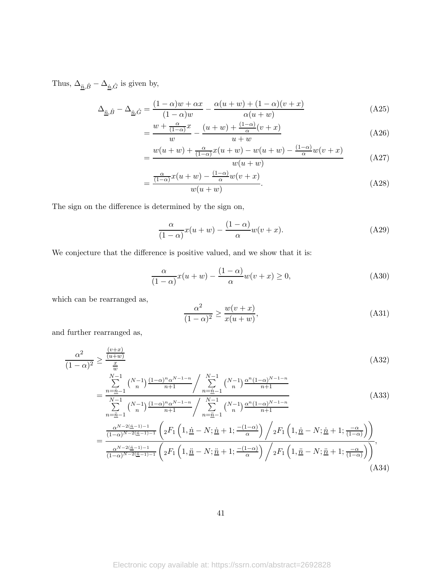Thus,  $\Delta_{\underline{\vec{n}},\hat{B}}-\Delta_{\underline{\vec{n}},\hat{G}}$  is given by,

$$
\Delta_{\underline{\ddot{n}},\hat{B}} - \Delta_{\underline{\dot{n}},\hat{G}} = \frac{(1-\alpha)w + \alpha x}{(1-\alpha)w} - \frac{\alpha(u+w) + (1-\alpha)(v+x)}{\alpha(u+w)}
$$
(A25)

$$
=\frac{w+\frac{\alpha}{(1-\alpha)}x}{w}-\frac{(u+w)+\frac{(1-\alpha)}{\alpha}(v+x)}{u+w}
$$
(A26)

$$
=\frac{w(u+w)+\frac{\alpha}{(1-\alpha)}x(u+w)-w(u+w)-\frac{(1-\alpha)}{\alpha}w(v+x)}{w(u+w)}
$$
(A27)

$$
=\frac{\frac{\alpha}{(1-\alpha)}x(u+w)-\frac{(1-\alpha)}{\alpha}w(v+x)}{w(u+w)}.
$$
\n(A28)

The sign on the difference is determined by the sign on,

$$
\frac{\alpha}{(1-\alpha)}x(u+w) - \frac{(1-\alpha)}{\alpha}w(v+x).
$$
 (A29)

We conjecture that the difference is positive valued, and we show that it is:

$$
\frac{\alpha}{(1-\alpha)}x(u+w) - \frac{(1-\alpha)}{\alpha}w(v+x) \ge 0,
$$
\n(A30)

which can be rearranged as,

$$
\frac{\alpha^2}{(1-\alpha)^2} \ge \frac{w(v+x)}{x(u+w)},\tag{A31}
$$

and further rearranged as,

$$
\frac{\alpha^2}{(1-\alpha)^2} \ge \frac{\frac{(v+x)}{(u+w)}}{\frac{x}{w}} \frac{\left( N-1 \right) \frac{(1-\alpha)^n \alpha^{N-1-n}}{n+1}}{\sum_{n=1}^{N-1} {N-1 \choose n} \frac{\left( N-1 \right) \alpha^n (1-\alpha)^{N-1-n}}{n+1}}
$$
\n(A32)

$$
= \frac{\frac{n-\underline{n}-1}{N-1}}{\sum_{n=\underline{n}-1}^{N-1} {N-1 \choose n} \frac{(1-\alpha)^n \alpha^{N-1-n}}{n+1}} / \sum_{n=\underline{n}-1}^{N-1} {N-1 \choose n} \frac{\alpha^n (1-\alpha)^{N-1-n}}{n+1}
$$
(A33)

$$
=\frac{\frac{\alpha^{N-2(\underline{n}-1)-1}}{(1-\alpha)^{N-2(\underline{n}-1)-1}}\left( {}_2F_1\left(1,\underline{\dot{n}}-N;\underline{\dot{n}}+1;\frac{-(1-\alpha)}{\alpha}\right)\bigg/ {}_2F_1\left(1,\underline{\dot{n}}-N;\underline{\dot{n}}+1;\frac{-\alpha}{(1-\alpha)}\right)\right)}{\frac{\alpha^{N-2(\underline{n}-1)-1}}{(1-\alpha)^{N-2(\underline{n}-1)-1}}\left( {}_2F_1\left(1,\underline{\ddot{n}}-N;\underline{\ddot{n}}+1;\frac{-(1-\alpha)}{\alpha}\right)\bigg/ {}_2F_1\left(1,\underline{\ddot{n}}-N;\underline{\ddot{n}}+1;\frac{-\alpha}{(1-\alpha)}\right)\right)},\tag{A34}
$$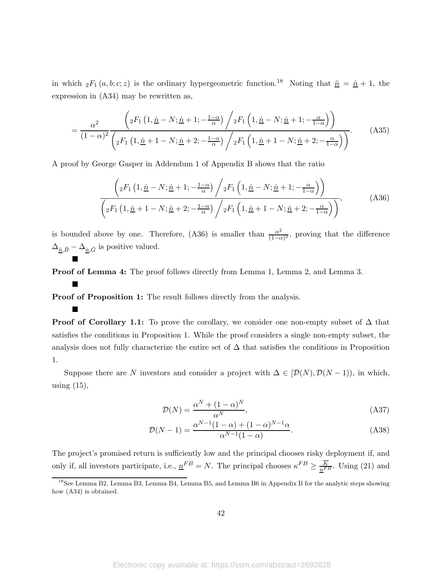in which  ${}_2F_1(a, b; c; z)$  is the ordinary hypergeometric function.<sup>18</sup> Noting that  $\frac{\dot{n}}{n} = \frac{\dot{n}}{n} + 1$ , the expression in (A34) may be rewritten as,

$$
= \frac{\alpha^2}{(1-\alpha)^2} \frac{\left(2F_1\left(1,\underline{\dot{n}}-N;\underline{\dot{n}}+1;-\frac{1-\alpha}{\alpha}\right) \bigg/_{2}F_1\left(1,\underline{\dot{n}}-N;\underline{\dot{n}}+1;-\frac{\alpha}{1-\alpha}\right)\right)}{(1-\alpha)^2 \left(2F_1\left(1,\underline{\dot{n}}+1-N;\underline{\dot{n}}+2;-\frac{1-\alpha}{\alpha}\right) \bigg/_{2}F_1\left(1,\underline{\dot{n}}+1-N;\underline{\dot{n}}+2;-\frac{\alpha}{1-\alpha}\right)\right)}.
$$
(A35)

A proof by George Gasper in Addendum 1 of Appendix B shows that the ratio

$$
\left( {}_{2}F_{1}\left(1,\underline{\dot{n}}-N;\underline{\dot{n}}+1;-\frac{1-\alpha}{\alpha}\right) / {}_{2}F_{1}\left(1,\underline{\dot{n}}-N;\underline{\dot{n}}+1;-\frac{\alpha}{1-\alpha}\right) \right) \n\left( {}_{2}F_{1}\left(1,\underline{\dot{n}}+1-N;\underline{\dot{n}}+2;-\frac{1-\alpha}{\alpha}\right) / {}_{2}F_{1}\left(1,\underline{\dot{n}}+1-N;\underline{\dot{n}}+2;-\frac{\alpha}{1-\alpha}\right) \right),
$$
\n(A36)

is bounded above by one. Therefore, (A36) is smaller than  $\frac{\alpha^2}{(1-\alpha)}$  $\frac{\alpha^2}{(1-\alpha)^2}$ , proving that the difference  $\Delta_{\underline{\vec{n}},\hat{B}} - \Delta_{\underline{\vec{n}},\hat{G}}$  is positive valued.  $\blacksquare$ 

Proof of Lemma 4: The proof follows directly from Lemma 1, Lemma 2, and Lemma 3.

Proof of Proposition 1: The result follows directly from the analysis.

 $\blacksquare$ 

 $\blacksquare$ 

**Proof of Corollary 1.1:** To prove the corollary, we consider one non-empty subset of  $\Delta$  that satisfies the conditions in Proposition 1. While the proof considers a single non-empty subset, the analysis does not fully characterize the entire set of  $\Delta$  that satisfies the conditions in Proposition 1.

Suppose there are N investors and consider a project with  $\Delta \in [\mathcal{D}(N), \mathcal{D}(N-1)]$ , in which, using  $(15)$ ,

$$
\mathcal{D}(N) = \frac{\alpha^N + (1 - \alpha)^N}{\alpha^N},\tag{A37}
$$

$$
\mathcal{D}(N-1) = \frac{\alpha^{N-1}(1-\alpha) + (1-\alpha)^{N-1}\alpha}{\alpha^{N-1}(1-\alpha)}.
$$
\n(A38)

The project's promised return is sufficiently low and the principal chooses risky deployment if, and only if, all investors participate, i.e.,  $n^{FB} = N$ . The principal chooses  $\kappa^{FB} \ge \frac{K}{n^{FB}}$ . Using (21) and

<sup>&</sup>lt;sup>18</sup>See Lemma B2, Lemma B3, Lemma B4, Lemma B5, and Lemma B6 in Appendix B for the analytic steps showing how (A34) is obtained.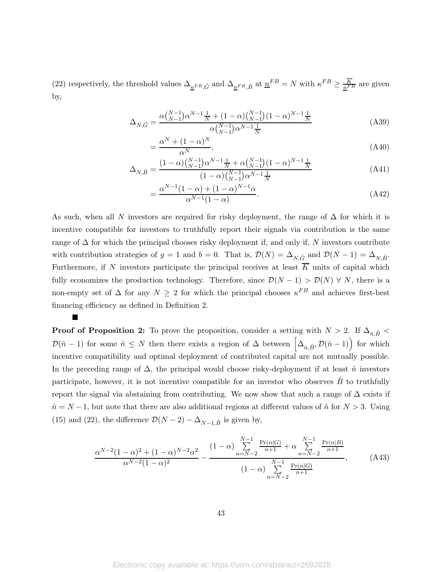(22) respectively, the threshold values  $\Delta_{\underline{n}^{FB}, \hat{G}}$  and  $\Delta_{\underline{n}^{FB}, \hat{B}}$  at  $\underline{n}^{FB} = N$  with  $\kappa^{FB} \ge \frac{K}{\underline{n}^{FB}}$  are given by,

$$
\Delta_{N,\hat{G}} = \frac{\alpha \binom{N-1}{N-1} \alpha^{N-1} \frac{1}{N} + (1-\alpha) \binom{N-1}{N-1} (1-\alpha)^{N-1} \frac{1}{N}}{\alpha \binom{N-1}{N-1} \alpha^{N-1} \frac{1}{N}}
$$
(A39)

$$
=\frac{\alpha^N + (1-\alpha)^N}{\alpha^N},\tag{A40}
$$

$$
\Delta_{N,\hat{B}} = \frac{(1-\alpha)\binom{N-1}{N-1}\alpha^{N-1}\frac{1}{N} + \alpha\binom{N-1}{N-1}(1-\alpha)^{N-1}\frac{1}{N}}{(1-\alpha)\binom{N-1}{N-1}\alpha^{N-1}\frac{1}{N}}
$$
(A41)

$$
=\frac{\alpha^{N-1}(1-\alpha)+(1-\alpha)^{N-1}\alpha}{\alpha^{N-1}(1-\alpha)}.
$$
\n(A42)

As such, when all N investors are required for risky deployment, the range of  $\Delta$  for which it is incentive compatible for investors to truthfully report their signals via contribution is the same range of  $\Delta$  for which the principal chooses risky deployment if, and only if, N investors contribute with contribution strategies of  $g = 1$  and  $b = 0$ . That is,  $\mathcal{D}(N) = \Delta_{N,\hat{G}}$  and  $\mathcal{D}(N-1) = \Delta_{N,\hat{B}}$ . Furthermore, if N investors participate the principal receives at least  $\overline{K}$  units of capital which fully economizes the production technology. Therefore, since  $\mathcal{D}(N-1) > \mathcal{D}(N) \forall N$ , there is a non-empty set of  $\Delta$  for any  $N \geq 2$  for which the principal chooses  $\kappa^{FB}$  and achieves first-best financing efficiency as defined in Definition 2.

 $\blacksquare$ 

**Proof of Proposition 2:** To prove the proposition, consider a setting with  $N > 2$ . If  $\Delta_{\hat{n}, \hat{B}}$  $\mathcal{D}(\hat{n}-1)$  for some  $\hat{n} \leq N$  then there exists a region of  $\Delta$  between  $\left[\Delta_{\hat{n},\hat{B}},\mathcal{D}(\hat{n}-1)\right)$  for which incentive compatibility and optimal deployment of contributed capital are not mutually possible. In the preceding range of  $\Delta$ , the principal would choose risky-deployment if at least  $\hat{n}$  investors participate, however, it is not incentive compatible for an investor who observes  $\hat{B}$  to truthfully report the signal via abstaining from contributing. We now show that such a range of  $\Delta$  exists if  $\hat{n} = N - 1$ , but note that there are also additional regions at different values of  $\hat{n}$  for  $N > 3$ . Using (15) and (22), the difference  $\mathcal{D}(N-2) - \Delta_{N-1,\hat{B}}$  is given by,

$$
\frac{\alpha^{N-2}(1-\alpha)^2 + (1-\alpha)^{N-2}\alpha^2}{\alpha^{N-2}(1-\alpha)^2} - \frac{(1-\alpha)\sum_{n=N-2}^{N-1} \frac{\Pr(n|G)}{n+1} + \alpha \sum_{n=N-2}^{N-1} \frac{\Pr(n|B)}{n+1}}{(1-\alpha)\sum_{n=N-2}^{N-1} \frac{\Pr(n|G)}{n+1}},\tag{A43}
$$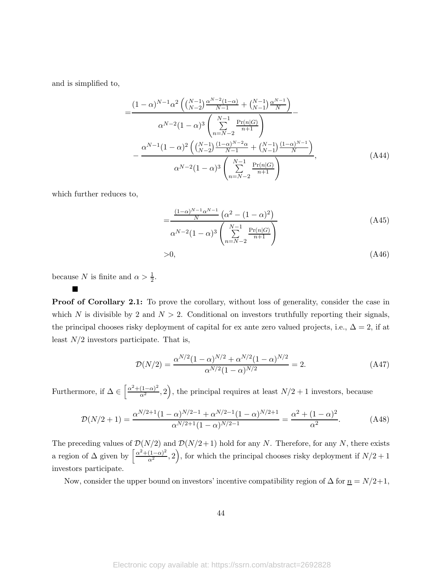and is simplified to,

$$
=\frac{(1-\alpha)^{N-1}\alpha^2\left(\binom{N-1}{N-2}\frac{\alpha^{N-2}(1-\alpha)}{N-1} + \binom{N-1}{N-1}\frac{\alpha^{N-1}}{N}\right)}{\alpha^{N-2}(1-\alpha)^3\left(\sum_{n=N-2}^{N-1}\frac{\Pr(n|G)}{n+1}\right)}
$$

$$
-\frac{\alpha^{N-1}(1-\alpha)^2\left(\binom{N-1}{N-2}\frac{(1-\alpha)^{N-2}\alpha}{N-1} + \binom{N-1}{N-1}\frac{(1-\alpha)^{N-1}}{N}\right)}{\alpha^{N-2}(1-\alpha)^3\left(\sum_{n=N-2}^{N-1}\frac{\Pr(n|G)}{n+1}\right)},\tag{A44}
$$

which further reduces to,

$$
=\frac{\frac{(1-\alpha)^{N-1}\alpha^{N-1}}{N}\left(\alpha^2 - (1-\alpha)^2\right)}{\alpha^{N-2}(1-\alpha)^3\left(\sum_{n=N-2}^{N-1}\frac{\Pr(n|G)}{n+1}\right)}
$$
(A45)  
>0, (A46)

because N is finite and  $\alpha > \frac{1}{2}$ .

 $\blacksquare$ 

Proof of Corollary 2.1: To prove the corollary, without loss of generality, consider the case in which N is divisible by 2 and  $N > 2$ . Conditional on investors truthfully reporting their signals, the principal chooses risky deployment of capital for ex ante zero valued projects, i.e.,  $\Delta = 2$ , if at least  $N/2$  investors participate. That is,

$$
\mathcal{D}(N/2) = \frac{\alpha^{N/2} (1 - \alpha)^{N/2} + \alpha^{N/2} (1 - \alpha)^{N/2}}{\alpha^{N/2} (1 - \alpha)^{N/2}} = 2.
$$
 (A47)

Furthermore, if  $\Delta \in \left[\frac{\alpha^2 + (1-\alpha)^2}{\alpha^2}, 2\right)$ , the principal requires at least  $N/2 + 1$  investors, because

$$
\mathcal{D}(N/2+1) = \frac{\alpha^{N/2+1}(1-\alpha)^{N/2-1} + \alpha^{N/2-1}(1-\alpha)^{N/2+1}}{\alpha^{N/2+1}(1-\alpha)^{N/2-1}} = \frac{\alpha^2 + (1-\alpha)^2}{\alpha^2}.
$$
 (A48)

The preceding values of  $\mathcal{D}(N/2)$  and  $\mathcal{D}(N/2+1)$  hold for any N. Therefore, for any N, there exists a region of  $\Delta$  given by  $\left[\frac{\alpha^2+(1-\alpha)^2}{\alpha^2},2\right)$ , for which the principal chooses risky deployment if  $N/2+1$ investors participate.

Now, consider the upper bound on investors' incentive compatibility region of  $\Delta$  for  $n = N/2+1$ ,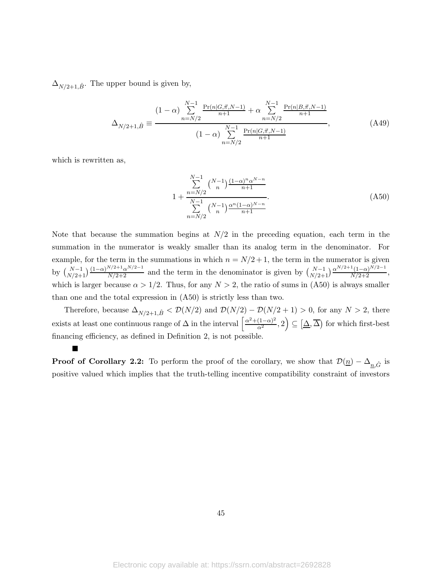$\Delta_{N/2+1,\hat{B}}$ . The upper bound is given by,

$$
\Delta_{N/2+1,\hat{B}} \equiv \frac{(1-\alpha) \sum_{n=N/2}^{N-1} \frac{\Pr(n|G,\vec{\pi},N-1)}{n+1} + \alpha \sum_{n=N/2}^{N-1} \frac{\Pr(n|B,\vec{\pi},N-1)}{n+1}}{(1-\alpha) \sum_{n=N/2}^{N-1} \frac{\Pr(n|G,\vec{\pi},N-1)}{n+1}},
$$
(A49)

which is rewritten as,

 $\blacksquare$ 

$$
1 + \frac{\sum_{n=N/2}^{N-1} \binom{N-1}{n} \frac{(1-\alpha)^n \alpha^{N-n}}{n+1}}{\sum_{n=N/2}^{N-1} \binom{N-1}{n} \frac{\alpha^n (1-\alpha)^{N-n}}{n+1}}.
$$
\n(A50)

Note that because the summation begins at  $N/2$  in the preceding equation, each term in the summation in the numerator is weakly smaller than its analog term in the denominator. For example, for the term in the summations in which  $n = N/2 + 1$ , the term in the numerator is given by  $\binom{N-1}{N/2+1} \frac{(1-\alpha)^{N/2+1} \alpha^{N/2-1}}{N/2+2}$  and the term in the denominator is given by  $\binom{N-1}{N/2+1} \frac{\alpha^{N/2+1}(1-\alpha)^{N/2-1}}{N/2+2}$ , which is larger because  $\alpha > 1/2$ . Thus, for any  $N > 2$ , the ratio of sums in (A50) is always smaller than one and the total expression in (A50) is strictly less than two.

Therefore, because  $\Delta_{N/2+1,\hat{B}}$  <  $\mathcal{D}(N/2)$  and  $\mathcal{D}(N/2) - \mathcal{D}(N/2+1) > 0$ , for any  $N > 2$ , there exists at least one continuous range of  $\Delta$  in the interval  $\left[\frac{\alpha^2+(1-\alpha)^2}{\alpha^2},2\right) \subseteq \left[\Delta,\overline{\Delta}\right)$  for which first-best financing efficiency, as defined in Definition 2, is not possible.

**Proof of Corollary 2.2:** To perform the proof of the corollary, we show that  $\mathcal{D}(\underline{n}) - \Delta_{\underline{n},\hat{G}}$  is positive valued which implies that the truth-telling incentive compatibility constraint of investors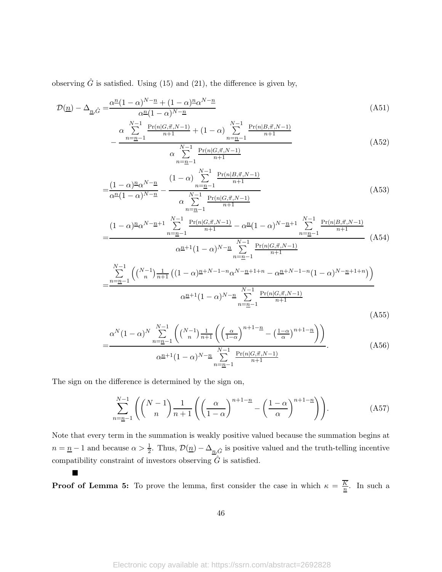observing  $\hat{G}$  is satisfied. Using (15) and (21), the difference is given by,

$$
\mathcal{D}(\underline{n}) - \Delta_{\underline{n}, \hat{G}} = \frac{\alpha^{\underline{n}} (1 - \alpha)^{N - \underline{n}} + (1 - \alpha)^{\underline{n}} \alpha^{N - \underline{n}}}{\alpha^{\underline{n}} (1 - \alpha)^{N - \underline{n}}} \tag{A51}
$$

 $n+1$ 

$$
-\frac{\alpha \sum_{n=n-1}^{N-1} \frac{\Pr(n|G,\vec{\pi},N-1)}{n+1} + (1-\alpha) \sum_{n=n-1}^{N-1} \frac{\Pr(n|B,\vec{\pi},N-1)}{n+1}}{\alpha \sum_{n=1}^{N-1} \frac{\Pr(n|G,\vec{\pi},N-1)}{n+1}}
$$
(A52)

$$
n = \underline{n-1} \quad \dots
$$
  
= 
$$
\frac{(1-\alpha)\underline{n\alpha}^{N-n}}{\alpha^{\underline{n}}(1-\alpha)^{N-\underline{n}}} - \frac{(1-\alpha)\sum_{n=\underline{n-1}}^{N-1} \frac{\Pr(n|B,\vec{\pi},N-1)}{n+1}}{\alpha \sum_{n=\underline{n-1}}^{N-1} \frac{\Pr(n|G,\vec{\pi},N-1)}{n+1}}
$$
 (A53)

$$
=\frac{(1-\alpha)^{n} \alpha^{N-n+1} \sum_{n=n-1}^{N-1} \frac{\Pr(n|G,\vec{\pi},N-1)}{n+1} - \alpha^{n} (1-\alpha)^{N-n+1} \sum_{n=n-1}^{N-1} \frac{\Pr(n|B,\vec{\pi},N-1)}{n+1}}{\alpha^{n+1} (1-\alpha)^{N-n} \sum_{n=n-1}^{N-1} \frac{\Pr(n|G,\vec{\pi},N-1)}{n+1}} \left( A54 \right)}{\alpha^{n+1} (1-\alpha)^{N-n} \sum_{n=n-1}^{N-1} \frac{\Pr(n|G,\vec{\pi},N-1)}{n+1}} \left( A54 \right)
$$
\n
$$
=\frac{\sum_{n=n-1}^{N-1} \left( {N-1 \choose n} \frac{1}{n+1} \left( (1-\alpha)^{n+N-1-n} \alpha^{N-n+1+n} - \alpha^{n+N-1-n} (1-\alpha)^{N-n+1+n} \right) \right)}{\alpha^{n+1} (1-\alpha)^{N-n} \sum_{n=n-1}^{N-1} \frac{\Pr(n|G,\vec{\pi},N-1)}{n+1}} \left( A55 \right)
$$
\n(A55)

$$
=\frac{\alpha^N(1-\alpha)^N\sum_{n=\underline{n}-1}^{N-1}\left(\binom{N-1}{n}\frac{1}{n+1}\left(\left(\frac{\alpha}{1-\alpha}\right)^{n+1-\underline{n}}-\left(\frac{1-\alpha}{\alpha}\right)^{n+1-\underline{n}}\right)\right)}{\alpha^{\underline{n}+1}(1-\alpha)^{N-\underline{n}}\sum_{n=\underline{n}-1}^{N-1}\frac{\Pr(n|G,\vec{\pi},N-1)}{n+1}}.\tag{A56}
$$

The sign on the difference is determined by the sign on,

 $\blacksquare$ 

$$
\sum_{n=n-1}^{N-1} \left( \binom{N-1}{n} \frac{1}{n+1} \left( \left( \frac{\alpha}{1-\alpha} \right)^{n+1-n} - \left( \frac{1-\alpha}{\alpha} \right)^{n+1-n} \right) \right).
$$
 (A57)

Note that every term in the summation is weakly positive valued because the summation begins at  $n = \underline{n} - 1$  and because  $\alpha > \frac{1}{2}$ . Thus,  $\mathcal{D}(\underline{n}) - \Delta_{\underline{n},\hat{G}}$  is positive valued and the truth-telling incentive compatibility constraint of investors observing  $\hat{G}$  is satisfied.

**Proof of Lemma 5:** To prove the lemma, first consider the case in which  $\kappa = \frac{K}{n}$  $\frac{\kappa}{n}$ . In such a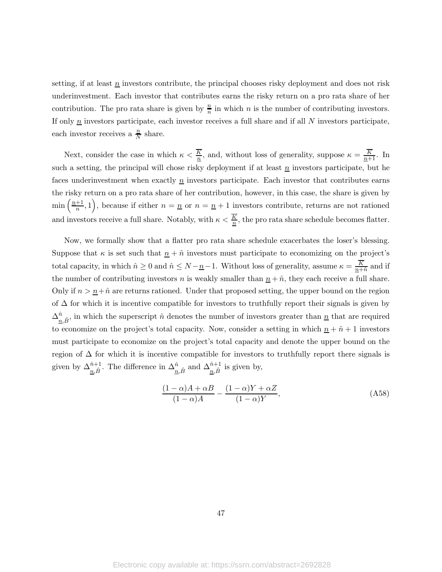setting, if at least  $\underline{n}$  investors contribute, the principal chooses risky deployment and does not risk underinvestment. Each investor that contributes earns the risky return on a pro rata share of her contribution. The pro rata share is given by  $\frac{n}{n}$  in which *n* is the number of contributing investors. If only  $\underline{n}$  investors participate, each investor receives a full share and if all N investors participate, each investor receives a  $\frac{n}{N}$  share.

Next, consider the case in which  $\kappa < \frac{K}{n}$ , and, without loss of generality, suppose  $\kappa = \frac{K}{n+1}$ . In such a setting, the principal will chose risky deployment if at least  $\underline{n}$  investors participate, but he faces underinvestment when exactly  $n$  investors participate. Each investor that contributes earns the risky return on a pro rata share of her contribution, however, in this case, the share is given by  $\min\left(\frac{n+1}{n}\right)$  $\left(\frac{n+1}{n},1\right)$ , because if either  $n=\underline{n}$  or  $n=\underline{n}+1$  investors contribute, returns are not rationed and investors receive a full share. Notably, with  $\kappa < \frac{K}{n}$ , the pro rata share schedule becomes flatter.

Now, we formally show that a flatter pro rata share schedule exacerbates the loser's blessing. Suppose that  $\kappa$  is set such that  $\underline{n} + \hat{n}$  investors must participate to economizing on the project's total capacity, in which  $\hat{n} \geq 0$  and  $\hat{n} \leq N - \underline{n} - 1$ . Without loss of generality, assume  $\kappa = \frac{K}{n+1}$  $\frac{\kappa}{n+\hat{n}}$  and if the number of contributing investors n is weakly smaller than  $\underline{n} + \hat{n}$ , they each receive a full share. Only if  $n > n + \hat{n}$  are returns rationed. Under that proposed setting, the upper bound on the region of  $\Delta$  for which it is incentive compatible for investors to truthfully report their signals is given by  $\Delta_{\underline{n},\hat{B}}^{\hat{n}}$ , in which the superscript  $\hat{n}$  denotes the number of investors greater than  $\underline{n}$  that are required to economize on the project's total capacity. Now, consider a setting in which  $n + \hat{n} + 1$  investors must participate to economize on the project's total capacity and denote the upper bound on the region of  $\Delta$  for which it is incentive compatible for investors to truthfully report there signals is given by  $\Delta_{\underline{n},\hat{B}}^{\hat{n}+1}$ . The difference in  $\Delta_{\underline{n},\hat{B}}^{\hat{n}}$  and  $\Delta_{\underline{n},\hat{B}}^{\hat{n}+1}$  is given by,

$$
\frac{(1-\alpha)A+\alpha B}{(1-\alpha)A} - \frac{(1-\alpha)Y+\alpha Z}{(1-\alpha)Y},
$$
\n(A58)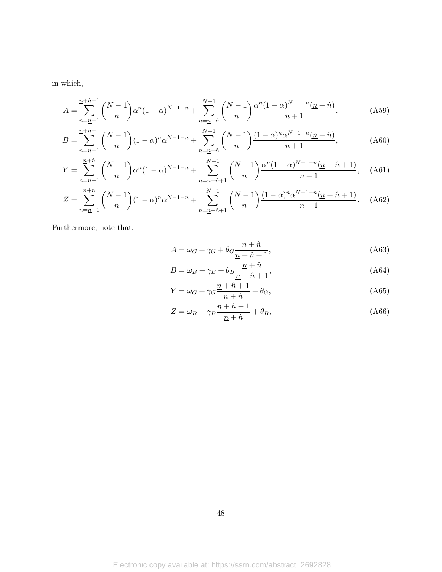in which,

$$
A = \sum_{n=n-1}^{n+\hat{n}-1} \binom{N-1}{n} \alpha^n (1-\alpha)^{N-1-n} + \sum_{n=n+\hat{n}}^{N-1} \binom{N-1}{n} \frac{\alpha^n (1-\alpha)^{N-1-n} (n+\hat{n})}{n+1},
$$
(A59)

$$
B = \sum_{n=n-1}^{n+\hat{n}-1} \binom{N-1}{n} (1-\alpha)^n \alpha^{N-1-n} + \sum_{n=n+\hat{n}}^{N-1} \binom{N-1}{n} \frac{(1-\alpha)^n \alpha^{N-1-n} (n+\hat{n})}{n+1},
$$
(A60)

$$
Y = \sum_{n=n-1}^{\frac{n}{n}+\hat{n}} \binom{N-1}{n} \alpha^n (1-\alpha)^{N-1-n} + \sum_{n=\frac{n}{n}+\hat{n}+1}^{N-1} \binom{N-1}{n} \frac{\alpha^n (1-\alpha)^{N-1-n} (n+\hat{n}+1)}{n+1}, \quad \text{(A61)}
$$

$$
Z = \sum_{n=n-1}^{\frac{n}{n}+\hat{n}} \binom{N-1}{n} (1-\alpha)^n \alpha^{N-1-n} + \sum_{n=\frac{n}{n}+\hat{n}+1}^{N-1} \binom{N-1}{n} \frac{(1-\alpha)^n \alpha^{N-1-n} (n+\hat{n}+1)}{n+1}.
$$
 (A62)

Furthermore, note that,

$$
A = \omega_G + \gamma_G + \theta_G \frac{\underline{n} + \hat{n}}{\underline{n} + \hat{n} + 1},\tag{A63}
$$

$$
B = \omega_B + \gamma_B + \theta_B \frac{\underline{n} + \hat{n}}{\underline{n} + \hat{n} + 1},\tag{A64}
$$

$$
Y = \omega_G + \gamma_G \frac{\underline{n} + \hat{n} + 1}{\underline{n} + \hat{n}} + \theta_G,\tag{A65}
$$

$$
Z = \omega_B + \gamma_B \frac{\underline{n} + \hat{n} + 1}{\underline{n} + \hat{n}} + \theta_B,
$$
\n(A66)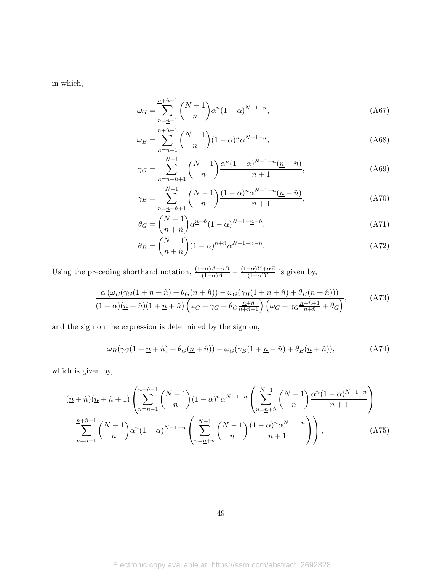in which,

$$
\omega_G = \sum_{n=n-1}^{n+\hat{n}-1} \binom{N-1}{n} \alpha^n (1-\alpha)^{N-1-n},\tag{A67}
$$

$$
\omega_B = \sum_{n=n-1}^{n+\hat{n}-1} \binom{N-1}{n} (1-\alpha)^n \alpha^{N-1-n},\tag{A68}
$$

$$
\gamma_G = \sum_{n=\underline{n}+\hat{n}+1}^{N-1} \binom{N-1}{n} \frac{\alpha^n (1-\alpha)^{N-1-n} (\underline{n}+\hat{n})}{n+1},\tag{A69}
$$

$$
\gamma_B = \sum_{n=\underline{n}+\hat{n}+1}^{N-1} \binom{N-1}{n} \frac{(1-\alpha)^n \alpha^{N-1-n} (\underline{n}+\hat{n})}{n+1},\tag{A70}
$$

$$
\theta_G = \binom{N-1}{\underline{n} + \hat{n}} \alpha^{\underline{n} + \hat{n}} (1 - \alpha)^{N-1 - \underline{n} - \hat{n}},\tag{A71}
$$

$$
\theta_B = \binom{N-1}{\underline{n}+\hat{n}} (1-\alpha)^{\underline{n}+\hat{n}} \alpha^{N-1-\underline{n}-\hat{n}}.\tag{A72}
$$

Using the preceding shorthand notation,  $\frac{(1-\alpha)A+\alpha B}{(1-\alpha)A} - \frac{(1-\alpha)Y+\alpha Z}{(1-\alpha)Y}$  $\frac{-\alpha}{1-\alpha}$  is given by,

$$
\frac{\alpha \left(\omega_B(\gamma_G(1+\underline{n}+\hat{n})+\theta_G(\underline{n}+\hat{n})\right)-\omega_G(\gamma_B(1+\underline{n}+\hat{n})+\theta_B(\underline{n}+\hat{n}))\right)}{(1-\alpha)(\underline{n}+\hat{n})(1+\underline{n}+\hat{n})\left(\omega_G+\gamma_G+\theta_G\frac{\underline{n}+\hat{n}}{\underline{n}+\hat{n}+1}\right)\left(\omega_G+\gamma_G\frac{\underline{n}+\hat{n}+1}{\underline{n}+\hat{n}}+\theta_G\right)},\tag{A73}
$$

and the sign on the expression is determined by the sign on,

$$
\omega_B(\gamma_G(1+\underline{n}+\hat{n})+\theta_G(\underline{n}+\hat{n}))-\omega_G(\gamma_B(1+\underline{n}+\hat{n})+\theta_B(\underline{n}+\hat{n})),\tag{A74}
$$

which is given by,

$$
\frac{(n+\hat{n})(n+\hat{n}+1)}{n} \left( \sum_{n=n-1}^{\frac{n+\hat{n}-1}{2}} \binom{N-1}{n} (1-\alpha)^n \alpha^{N-1-n} \left( \sum_{n=n+\hat{n}}^{N-1} \binom{N-1}{n} \frac{\alpha^n (1-\alpha)^{N-1-n}}{n+1} \right) - \sum_{n=n-1}^{\frac{n+\hat{n}-1}{2}} \binom{N-1}{n} \alpha^n (1-\alpha)^{N-1-n} \left( \sum_{n=n+\hat{n}}^{N-1} \binom{N-1}{n} \frac{(1-\alpha)^n \alpha^{N-1-n}}{n+1} \right) \right),
$$
\n(A75)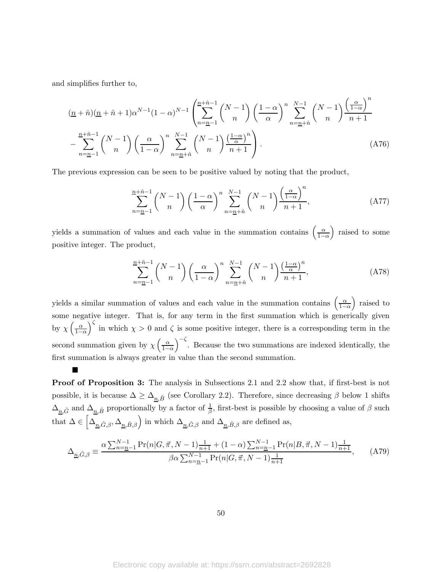and simplifies further to,

 $\blacksquare$ 

$$
\frac{(n+\hat{n})(n+\hat{n}+1)\alpha^{N-1}(1-\alpha)^{N-1}\left(\sum_{n=n-1}^{n+\hat{n}-1} \binom{N-1}{n}\left(\frac{1-\alpha}{\alpha}\right)^n \sum_{n=n+\hat{n}}^{N-1} \binom{N-1}{n} \frac{\left(\frac{\alpha}{1-\alpha}\right)^n}{n+1} - \sum_{n=n-1}^{n+\hat{n}-1} \binom{N-1}{n} \left(\frac{\alpha}{1-\alpha}\right)^n \sum_{n=n+\hat{n}}^{N-1} \binom{N-1}{n} \frac{\left(\frac{1-\alpha}{\alpha}\right)^n}{n+1} \right). \tag{A76}
$$

The previous expression can be seen to be positive valued by noting that the product,

$$
\sum_{n=\underline{n}-1}^{\underline{n}+\hat{n}-1} \binom{N-1}{n} \left(\frac{1-\alpha}{\alpha}\right)^n \sum_{n=\underline{n}+\hat{n}}^{N-1} \binom{N-1}{n} \frac{\left(\frac{\alpha}{1-\alpha}\right)^n}{n+1},\tag{A77}
$$

yields a summation of values and each value in the summation contains  $\left(\frac{\alpha}{1-\alpha}\right)$  $1-\alpha$  raised to some positive integer. The product,

$$
\sum_{n=\underline{n}-1}^{\underline{n}+\hat{n}-1} \binom{N-1}{n} \left(\frac{\alpha}{1-\alpha}\right)^n \sum_{n=\underline{n}+\hat{n}}^{N-1} \binom{N-1}{n} \frac{\left(\frac{1-\alpha}{\alpha}\right)^n}{n+1},\tag{A78}
$$

yields a similar summation of values and each value in the summation contains  $\left(\frac{\alpha}{1-\alpha}\right)$  $1-\alpha$  raised to some negative integer. That is, for any term in the first summation which is generically given by  $\chi\left(\frac{\alpha}{1-\alpha}\right)$  $1-\alpha$  $\int_{0}^{\zeta}$  in which  $\chi > 0$  and  $\zeta$  is some positive integer, there is a corresponding term in the second summation given by  $\chi\left(\frac{\alpha}{1-\alpha}\right)$  $1-\alpha$  $\int_{0}^{-\zeta}$ . Because the two summations are indexed identically, the first summation is always greater in value than the second summation.

Proof of Proposition 3: The analysis in Subsections 2.1 and 2.2 show that, if first-best is not possible, it is because  $\Delta \geq \Delta_{n,\hat{B}}$  (see Corollary 2.2). Therefore, since decreasing  $\beta$  below 1 shifts  $\Delta_{\underline{n},\hat{G}}$  and  $\Delta_{\underline{n},\hat{B}}$  proportionally by a factor of  $\frac{1}{\beta}$ , first-best is possible by choosing a value of  $\beta$  such that  $\Delta \in \left[\Delta_{\underline{n},\hat{G},\beta},\Delta_{\underline{n},\hat{B},\beta}\right)$  in which  $\Delta_{\underline{n},\hat{G},\beta}$  and  $\Delta_{\underline{n},\hat{B},\beta}$  are defined as,

$$
\Delta_{\underline{n},\hat{G},\beta} \equiv \frac{\alpha \sum_{n=\underline{n}-1}^{N-1} \Pr(n|G,\vec{\pi},N-1) \frac{1}{n+1} + (1-\alpha) \sum_{n=\underline{n}-1}^{N-1} \Pr(n|B,\vec{\pi},N-1) \frac{1}{n+1}}{\beta \alpha \sum_{n=\underline{n}-1}^{N-1} \Pr(n|G,\vec{\pi},N-1) \frac{1}{n+1}},\tag{A79}
$$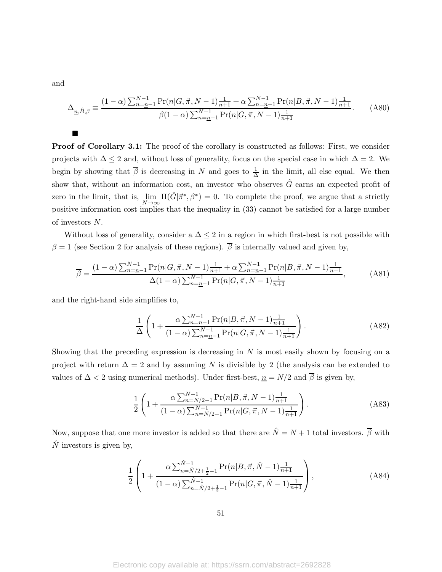and

■

$$
\Delta_{\underline{n},\hat{B},\beta} \equiv \frac{(1-\alpha)\sum_{n=\underline{n}-1}^{N-1} \Pr(n|G,\vec{\pi},N-1)\frac{1}{n+1} + \alpha \sum_{n=\underline{n}-1}^{N-1} \Pr(n|B,\vec{\pi},N-1)\frac{1}{n+1}}{\beta(1-\alpha)\sum_{n=\underline{n}-1}^{N-1} \Pr(n|G,\vec{\pi},N-1)\frac{1}{n+1}}.
$$
 (A80)

Proof of Corollary 3.1: The proof of the corollary is constructed as follows: First, we consider projects with  $\Delta \leq 2$  and, without loss of generality, focus on the special case in which  $\Delta = 2$ . We begin by showing that  $\overline{\beta}$  is decreasing in N and goes to  $\frac{1}{\Delta}$  in the limit, all else equal. We then show that, without an information cost, an investor who observes  $\hat{G}$  earns an expected profit of zero in the limit, that is,  $\lim_{N\to\infty} \Pi(\hat{G}|\vec{\pi}^*, \beta^*) = 0$ . To complete the proof, we argue that a strictly positive information cost implies that the inequality in (33) cannot be satisfied for a large number of investors N.

Without loss of generality, consider a  $\Delta \leq 2$  in a region in which first-best is not possible with  $\beta = 1$  (see Section 2 for analysis of these regions).  $\overline{\beta}$  is internally valued and given by,

$$
\overline{\beta} = \frac{(1-\alpha)\sum_{n=n-1}^{N-1} \Pr(n|G,\vec{\pi},N-1)\frac{1}{n+1} + \alpha \sum_{n=n-1}^{N-1} \Pr(n|B,\vec{\pi},N-1)\frac{1}{n+1}}{\Delta(1-\alpha)\sum_{n=n-1}^{N-1} \Pr(n|G,\vec{\pi},N-1)\frac{1}{n+1}},\tag{A81}
$$

and the right-hand side simplifies to,

$$
\frac{1}{\Delta} \left( 1 + \frac{\alpha \sum_{n=n-1}^{N-1} \Pr(n|B,\vec{\pi}, N-1) \frac{1}{n+1}}{(1-\alpha) \sum_{n=n-1}^{N-1} \Pr(n|G,\vec{\pi}, N-1) \frac{1}{n+1}} \right).
$$
 (A82)

Showing that the preceding expression is decreasing in  $N$  is most easily shown by focusing on a project with return  $\Delta = 2$  and by assuming N is divisible by 2 (the analysis can be extended to values of  $\Delta < 2$  using numerical methods). Under first-best,  $n = N/2$  and  $\overline{\beta}$  is given by,

$$
\frac{1}{2} \left( 1 + \frac{\alpha \sum_{n=N/2-1}^{N-1} \Pr(n|B,\vec{\pi},N-1) \frac{1}{n+1}}{(1-\alpha) \sum_{n=N/2-1}^{N-1} \Pr(n|G,\vec{\pi},N-1) \frac{1}{n+1}} \right). \tag{A83}
$$

Now, suppose that one more investor is added so that there are  $\hat{N} = N + 1$  total investors.  $\overline{\beta}$  with  $\hat{N}$  investors is given by,

$$
\frac{1}{2} \left( 1 + \frac{\alpha \sum_{n=\hat{N}/2+\frac{1}{2}-1}^{\hat{N}-1} \Pr(n|B,\vec{\pi},\hat{N}-1) \frac{1}{n+1}}{(1-\alpha) \sum_{n=\hat{N}/2+\frac{1}{2}-1}^{\hat{N}-1} \Pr(n|G,\vec{\pi},\hat{N}-1) \frac{1}{n+1}} \right),
$$
\n(A84)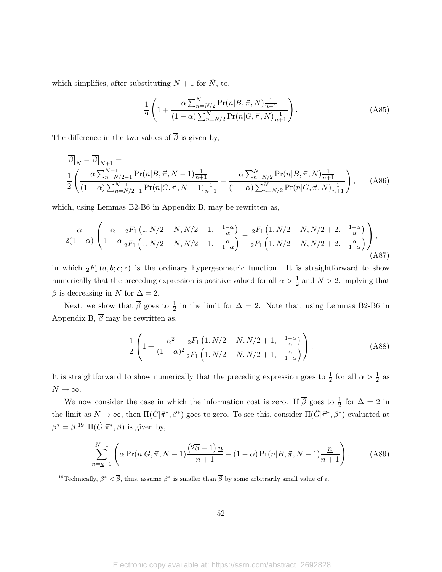which simplifies, after substituting  $N + 1$  for  $\hat{N}$ , to,

$$
\frac{1}{2} \left( 1 + \frac{\alpha \sum_{n=N/2}^{N} \Pr(n|B,\vec{\pi},N) \frac{1}{n+1}}{(1-\alpha) \sum_{n=N/2}^{N} \Pr(n|G,\vec{\pi},N) \frac{1}{n+1}} \right).
$$
 (A85)

The difference in the two values of  $\overline{\beta}$  is given by,

$$
\overline{\beta}|_N - \overline{\beta}|_{N+1} = \frac{1}{2} \left( \frac{\alpha \sum_{n=N/2-1}^{N-1} \Pr(n|B,\vec{\pi},N-1) \frac{1}{n+1}}{(1-\alpha) \sum_{n=N/2-1}^{N-1} \Pr(n|G,\vec{\pi},N-1) \frac{1}{n+1}} - \frac{\alpha \sum_{n=N/2}^{N} \Pr(n|B,\vec{\pi},N) \frac{1}{n+1}}{(1-\alpha) \sum_{n=N/2}^{N} \Pr(n|G,\vec{\pi},N) \frac{1}{n+1}} \right), \quad (A86)
$$

which, using Lemmas B2-B6 in Appendix B, may be rewritten as,

$$
\frac{\alpha}{2(1-\alpha)}\left(\frac{\alpha}{1-\alpha}\frac{{}_2F_1\left(1,N/2-N,N/2+1,-\frac{1-\alpha}{\alpha}\right)}{{}_2F_1\left(1,N/2-N,N/2+1,-\frac{\alpha}{1-\alpha}\right)}-\frac{{}_2F_1\left(1,N/2-N,N/2+2,-\frac{1-\alpha}{\alpha}\right)}{{}_2F_1\left(1,N/2-N,N/2+2,-\frac{\alpha}{1-\alpha}\right)}\right),\tag{A87}
$$

in which  ${}_2F_1(a, b; c; z)$  is the ordinary hypergeometric function. It is straightforward to show numerically that the preceding expression is positive valued for all  $\alpha > \frac{1}{2}$  and  $N > 2$ , implying that  $\overline{\beta}$  is decreasing in N for  $\Delta = 2$ .

Next, we show that  $\overline{\beta}$  goes to  $\frac{1}{2}$  in the limit for  $\Delta = 2$ . Note that, using Lemmas B2-B6 in Appendix B,  $\overline{\beta}$  may be rewritten as,

$$
\frac{1}{2} \left( 1 + \frac{\alpha^2}{(1-\alpha)^2} \frac{{}_2F_1 \left(1, N/2 - N, N/2 + 1, -\frac{1-\alpha}{\alpha}\right)}{{}_2F_1 \left(1, N/2 - N, N/2 + 1, -\frac{\alpha}{1-\alpha}\right)} \right). \tag{A88}
$$

It is straightforward to show numerically that the preceding expression goes to  $\frac{1}{2}$  for all  $\alpha > \frac{1}{2}$  as  $N\rightarrow\infty.$ 

We now consider the case in which the information cost is zero. If  $\overline{\beta}$  goes to  $\frac{1}{2}$  for  $\Delta = 2$  in the limit as  $N \to \infty$ , then  $\Pi(\hat{G}|\vec{\pi}^*, \beta^*)$  goes to zero. To see this, consider  $\Pi(\hat{G}|\vec{\pi}^*, \beta^*)$  evaluated at  $\beta^* = \overline{\beta}$ .<sup>19</sup>  $\Pi(\hat{G}|\vec{\pi}^*, \overline{\beta})$  is given by,

$$
\sum_{n=\underline{n}-1}^{N-1} \left( \alpha \Pr(n|G,\vec{\pi},N-1) \frac{(2\overline{\beta}-1) \, \underline{n}}{n+1} - (1-\alpha) \Pr(n|B,\vec{\pi},N-1) \frac{\underline{n}}{n+1} \right),\tag{A89}
$$

<sup>19</sup>Technically,  $\beta^* < \overline{\beta}$ , thus, assume  $\beta^*$  is smaller than  $\overline{\beta}$  by some arbitrarily small value of  $\epsilon$ .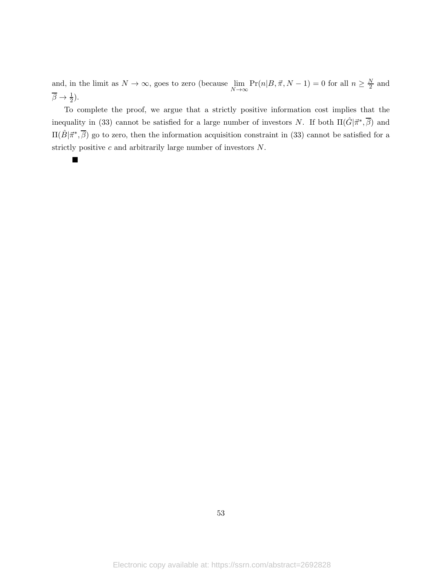and, in the limit as  $N \to \infty$ , goes to zero (because  $\lim_{N \to \infty} Pr(n|B, \vec{\pi}, N - 1) = 0$  for all  $n \ge \frac{N}{2}$  and  $\overline{\beta} \to \frac{1}{2}$ ).

To complete the proof, we argue that a strictly positive information cost implies that the inequality in (33) cannot be satisfied for a large number of investors N. If both  $\Pi(\hat{G}|\vec{\pi}^*,\overline{\beta})$  and  $\Pi(\hat{B}|\vec{\pi}^*,\overline{\beta})$  go to zero, then the information acquisition constraint in (33) cannot be satisfied for a strictly positive c and arbitrarily large number of investors N.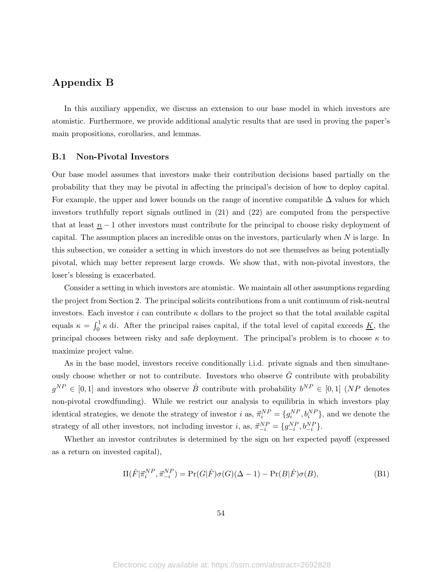# Appendix B

In this auxiliary appendix, we discuss an extension to our base model in which investors are atomistic. Furthermore, we provide additional analytic results that are used in proving the paper's main propositions, corollaries, and lemmas.

### B.1 Non-Pivotal Investors

Our base model assumes that investors make their contribution decisions based partially on the probability that they may be pivotal in affecting the principal's decision of how to deploy capital. For example, the upper and lower bounds on the range of incentive compatible  $\Delta$  values for which investors truthfully report signals outlined in (21) and (22) are computed from the perspective that at least  $n - 1$  other investors must contribute for the principal to choose risky deployment of capital. The assumption places an incredible onus on the investors, particularly when  $N$  is large. In this subsection, we consider a setting in which investors do not see themselves as being potentially pivotal, which may better represent large crowds. We show that, with non-pivotal investors, the loser's blessing is exacerbated.

Consider a setting in which investors are atomistic. We maintain all other assumptions regarding the project from Section 2. The principal solicits contributions from a unit continuum of risk-neutral investors. Each investor i can contribute  $\kappa$  dollars to the project so that the total available capital equals  $\kappa = \int_0^1 \kappa \, \mathrm{d}i$ . After the principal raises capital, if the total level of capital exceeds  $\underline{K}$ , the principal chooses between risky and safe deployment. The principal's problem is to choose  $\kappa$  to maximize project value.

As in the base model, investors receive conditionally i.i.d. private signals and then simultaneously choose whether or not to contribute. Investors who observe  $\hat{G}$  contribute with probability  $g^{NP} \in [0,1]$  and investors who observe  $\hat{B}$  contribute with probability  $b^{NP} \in [0,1]$  (NP denotes non-pivotal crowdfunding). While we restrict our analysis to equilibria in which investors play identical strategies, we denote the strategy of investor i as,  $\vec{\pi}_i^{NP} = \{g_i^{NP}, b_i^{NP}\}$ , and we denote the strategy of all other investors, not including investor *i*, as,  $\vec{\pi}_{-i}^{NP} = \{g_{-i}^{NP}, b_{-i}^{NP}\}.$ 

Whether an investor contributes is determined by the sign on her expected payoff (expressed as a return on invested capital),

$$
\Pi(\hat{F}|\vec{\pi}_i^{NP}, \vec{\pi}_{-i}^{NP}) = \Pr(G|\hat{F})\sigma(G)(\Delta - 1) - \Pr(B|\hat{F})\sigma(B),\tag{B1}
$$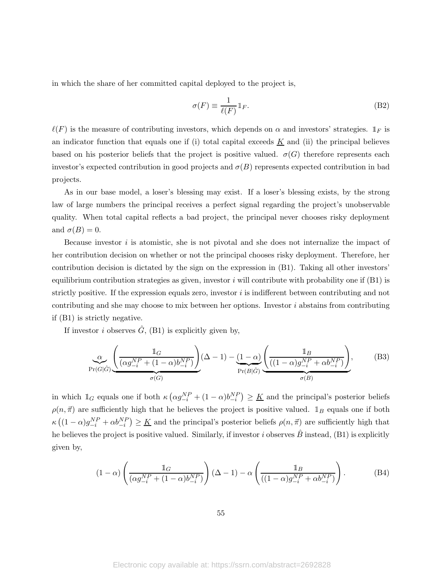in which the share of her committed capital deployed to the project is,

$$
\sigma(F) \equiv \frac{1}{\ell(F)} \mathbb{1}_F. \tag{B2}
$$

 $\ell(F)$  is the measure of contributing investors, which depends on  $\alpha$  and investors' strategies.  $\mathbb{1}_F$  is an indicator function that equals one if (i) total capital exceeds  $\underline{K}$  and (ii) the principal believes based on his posterior beliefs that the project is positive valued.  $\sigma(G)$  therefore represents each investor's expected contribution in good projects and  $\sigma(B)$  represents expected contribution in bad projects.

As in our base model, a loser's blessing may exist. If a loser's blessing exists, by the strong law of large numbers the principal receives a perfect signal regarding the project's unobservable quality. When total capital reflects a bad project, the principal never chooses risky deployment and  $\sigma(B) = 0$ .

Because investor  $i$  is atomistic, she is not pivotal and she does not internalize the impact of her contribution decision on whether or not the principal chooses risky deployment. Therefore, her contribution decision is dictated by the sign on the expression in (B1). Taking all other investors' equilibrium contribution strategies as given, investor i will contribute with probability one if  $(B1)$  is strictly positive. If the expression equals zero, investor  $i$  is indifferent between contributing and not contributing and she may choose to mix between her options. Investor  $i$  abstains from contributing if (B1) is strictly negative.

If investor i observes  $\hat{G}$ , (B1) is explicitly given by,

$$
\underbrace{\alpha}_{\Pr(G|\hat{G})} \underbrace{\left(\frac{\mathbb{1}_G}{(\alpha g_{-i}^{NP} + (1 - \alpha)b_{-i}^{NP})}\right)}_{\sigma(G)} (\Delta - 1) - \underbrace{(1 - \alpha)}_{\Pr(B|\hat{G})} \underbrace{\left(\frac{\mathbb{1}_B}{((1 - \alpha)g_{-i}^{NP} + \alpha b_{-i}^{NP})}\right)}_{\sigma(B)},
$$
(B3)

in which  $\mathbb{1}_G$  equals one if both  $\kappa \left( \alpha g_{-i}^{NP} + (1 - \alpha) b_{-i}^{NP} \right) \geq \underline{K}$  and the principal's posterior beliefs  $\rho(n, \vec{\pi})$  are sufficiently high that he believes the project is positive valued.  $\mathbb{1}_B$  equals one if both  $\kappa\left((1-\alpha)g_{-i}^{NP}+\alpha b_{-i}^{NP}\right) \geq \underline{K}$  and the principal's posterior beliefs  $\rho(n,\vec{\pi})$  are sufficiently high that he believes the project is positive valued. Similarly, if investor i observes  $\hat{B}$  instead, (B1) is explicitly given by,

$$
(1-\alpha)\left(\frac{\mathbb{1}_G}{(\alpha g_{-i}^{NP} + (1-\alpha)b_{-i}^{NP})}\right)(\Delta - 1) - \alpha\left(\frac{\mathbb{1}_B}{((1-\alpha)g_{-i}^{NP} + \alpha b_{-i}^{NP})}\right). \tag{B4}
$$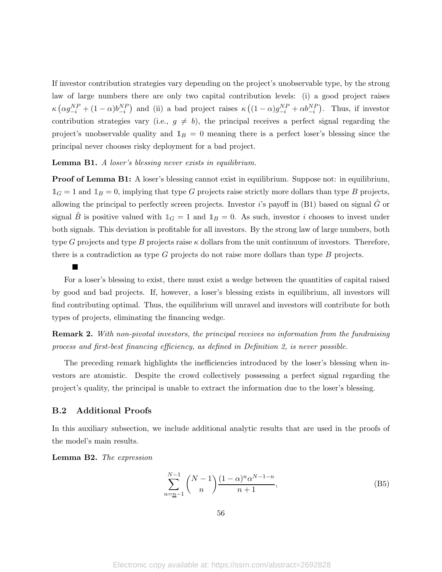If investor contribution strategies vary depending on the project's unobservable type, by the strong law of large numbers there are only two capital contribution levels: (i) a good project raises  $\kappa \left( \alpha g_{-i}^{NP} + (1-\alpha)b_{-i}^{NP} \right)$  and (ii) a bad project raises  $\kappa \left( (1-\alpha)g_{-i}^{NP} + \alpha b_{-i}^{NP} \right)$ . Thus, if investor contribution strategies vary (i.e.,  $g \neq b$ ), the principal receives a perfect signal regarding the project's unobservable quality and  $\mathbb{1}_B = 0$  meaning there is a perfect loser's blessing since the principal never chooses risky deployment for a bad project.

#### Lemma B1. A loser's blessing never exists in equilibrium.

Proof of Lemma B1: A loser's blessing cannot exist in equilibrium. Suppose not: in equilibrium,  $\mathbb{1}_G = 1$  and  $\mathbb{1}_B = 0$ , implying that type G projects raise strictly more dollars than type B projects, allowing the principal to perfectly screen projects. Investor *i*'s payoff in (B1) based on signal  $\hat{G}$  or signal B is positive valued with  $\mathbb{1}_G = 1$  and  $\mathbb{1}_B = 0$ . As such, investor i chooses to invest under both signals. This deviation is profitable for all investors. By the strong law of large numbers, both type G projects and type B projects raise  $\kappa$  dollars from the unit continuum of investors. Therefore, there is a contradiction as type G projects do not raise more dollars than type B projects.

 $\blacksquare$ 

For a loser's blessing to exist, there must exist a wedge between the quantities of capital raised by good and bad projects. If, however, a loser's blessing exists in equilibrium, all investors will find contributing optimal. Thus, the equilibrium will unravel and investors will contribute for both types of projects, eliminating the financing wedge.

**Remark 2.** With non-pivotal investors, the principal receives no information from the fundraising process and first-best financing efficiency, as defined in Definition 2, is never possible.

The preceding remark highlights the inefficiencies introduced by the loser's blessing when investors are atomistic. Despite the crowd collectively possessing a perfect signal regarding the project's quality, the principal is unable to extract the information due to the loser's blessing.

### B.2 Additional Proofs

In this auxiliary subsection, we include additional analytic results that are used in the proofs of the model's main results.

Lemma B2. The expression

$$
\sum_{n=\underline{n}-1}^{N-1} \binom{N-1}{n} \frac{(1-\alpha)^n \alpha^{N-1-n}}{n+1},
$$
\n(B5)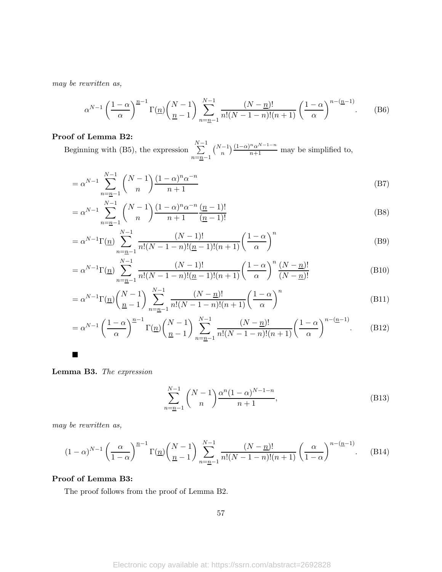may be rewritten as,

$$
\alpha^{N-1} \left(\frac{1-\alpha}{\alpha}\right)^{\underline{n}-1} \Gamma(\underline{n}) \left(\frac{N-1}{\underline{n}-1}\right) \sum_{n=\underline{n}-1}^{N-1} \frac{(N-\underline{n})!}{n!(N-1-n)!(n+1)} \left(\frac{1-\alpha}{\alpha}\right)^{n-(\underline{n}-1)}.\tag{B6}
$$

## Proof of Lemma B2:

Beginning with (B5), the expression  $\sum_{i=1}^{N-1}$  $n=n-1$  $\binom{N-1}{n} \frac{(1-\alpha)^n \alpha^{N-1-n}}{n+1}$  may be simplified to,

$$
= \alpha^{N-1} \sum_{n=n-1}^{N-1} {N-1 \choose n} \frac{(1-\alpha)^n \alpha^{-n}}{n+1}
$$
 (B7)

$$
= \alpha^{N-1} \sum_{n=\underline{n}-1}^{N-1} {N-1 \choose n} \frac{(1-\alpha)^n \alpha^{-n}}{n+1} \frac{(n-1)!}{(n-1)!}
$$
(B8)

$$
= \alpha^{N-1} \Gamma(\underline{n}) \sum_{n=\underline{n}-1}^{N-1} \frac{(N-1)!}{n!(N-1-n)!(\underline{n}-1)!(n+1)} \left(\frac{1-\alpha}{\alpha}\right)^n
$$
(B9)

$$
= \alpha^{N-1} \Gamma(\underline{n}) \sum_{n=\underline{n}-1}^{N-1} \frac{(N-1)!}{n!(N-1-n)!(\underline{n}-1)!(n+1)} \left(\frac{1-\alpha}{\alpha}\right)^n \frac{(N-\underline{n})!}{(N-\underline{n})!}
$$
(B10)

$$
= \alpha^{N-1} \Gamma(\underline{n}) \left(\frac{N-1}{\underline{n}-1}\right) \sum_{n=\underline{n}-1}^{N-1} \frac{(N-\underline{n})!}{n!(N-1-n)!(n+1)} \left(\frac{1-\alpha}{\alpha}\right)^n \tag{B11}
$$

$$
= \alpha^{N-1} \left(\frac{1-\alpha}{\alpha}\right)^{n-1} \Gamma(\underline{n}) \left(\frac{N-1}{n-1}\right) \sum_{n=n-1}^{N-1} \frac{(N-\underline{n})!}{n!(N-1-n)!(n+1)} \left(\frac{1-\alpha}{\alpha}\right)^{n-(n-1)}.
$$
 (B12)

 $\blacksquare$ 

Lemma B3. The expression

$$
\sum_{n=\underline{n}-1}^{N-1} \binom{N-1}{n} \frac{\alpha^n (1-\alpha)^{N-1-n}}{n+1},
$$
\n(B13)

may be rewritten as,

$$
(1 - \alpha)^{N-1} \left(\frac{\alpha}{1 - \alpha}\right)^{n-1} \Gamma(\underline{n}) \left(\frac{N-1}{n-1}\right) \sum_{n=n-1}^{N-1} \frac{(N-n)!}{n!(N-1-n)!(n+1)} \left(\frac{\alpha}{1 - \alpha}\right)^{n-(n-1)}.
$$
 (B14)

### Proof of Lemma B3:

The proof follows from the proof of Lemma B2.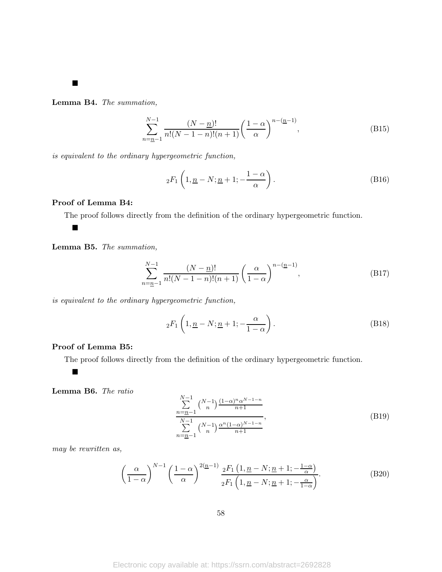Lemma B4. The summation,

$$
\sum_{n=\underline{n}-1}^{N-1} \frac{(N-\underline{n})!}{n!(N-1-n)!(n+1)} \left(\frac{1-\alpha}{\alpha}\right)^{n-(\underline{n}-1)},
$$
\n(B15)

is equivalent to the ordinary hypergeometric function,

$$
{}_2F_1\left(1,\underline{n}-N;\underline{n}+1;-\frac{1-\alpha}{\alpha}\right). \tag{B16}
$$

## Proof of Lemma B4:

The proof follows directly from the definition of the ordinary hypergeometric function.

#### $\blacksquare$

 $\blacksquare$ 

Lemma B5. The summation,

$$
\sum_{n=\underline{n}-1}^{N-1} \frac{(N-\underline{n})!}{n!(N-1-n)!(n+1)} \left(\frac{\alpha}{1-\alpha}\right)^{n-(\underline{n}-1)},
$$
\n(B17)

is equivalent to the ordinary hypergeometric function,

$$
{}_2F_1\left(1,\underline{n}-N;\underline{n}+1;-\frac{\alpha}{1-\alpha}\right). \tag{B18}
$$

### Proof of Lemma B5:

The proof follows directly from the definition of the ordinary hypergeometric function.

Lemma B6. The ratio

 $\blacksquare$ 

$$
\sum_{n=\underline{n-1}}^{N-1} {N-1 \choose n} \frac{(1-\alpha)^n \alpha^{N-1-n}}{n+1}
$$
\n
$$
\sum_{n=\underline{n-1}}^{N-1} {N-1 \choose n} \frac{\alpha^n (1-\alpha)^{N-1-n}}{n+1},
$$
\n(B19)

may be rewritten as,

$$
\left(\frac{\alpha}{1-\alpha}\right)^{N-1} \left(\frac{1-\alpha}{\alpha}\right)^{2(n-1)} \frac{{}_2F_1\left(1,\underline{n}-N;\underline{n}+1;-\frac{1-\alpha}{\alpha}\right)}{{}_2F_1\left(1,\underline{n}-N;\underline{n}+1;-\frac{\alpha}{1-\alpha}\right)}.
$$
 (B20)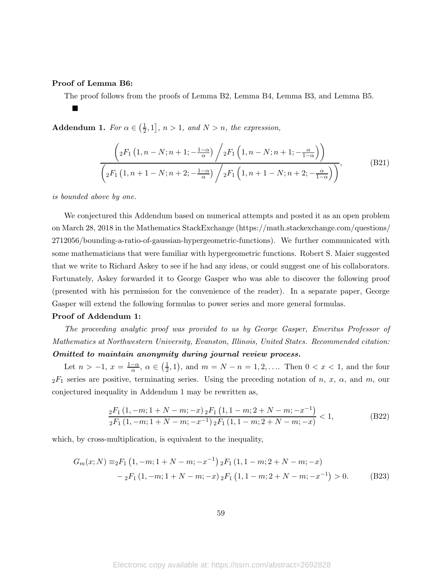### Proof of Lemma B6:

ш

The proof follows from the proofs of Lemma B2, Lemma B4, Lemma B3, and Lemma B5.

**Addendum 1.** For  $\alpha \in (\frac{1}{2})$  $\left[\frac{1}{2},1\right]$ ,  $n>1$ , and  $N>n$ , the expression,

$$
\frac{\left( {}_{2}F_{1}\left(1,n-N;n+1;- \frac{1-\alpha}{\alpha}\right) \bigg/ {}_{2}F_{1}\left(1,n-N;n+1;- \frac{\alpha}{1-\alpha}\right) \right)}{\left( {}_{2}F_{1}\left(1,n+1-N;n+2;- \frac{1-\alpha}{\alpha}\right) \bigg/ {}_{2}F_{1}\left(1,n+1-N;n+2;- \frac{\alpha}{1-\alpha}\right) \right)},
$$
\n(B21)

is bounded above by one.

We conjectured this Addendum based on numerical attempts and posted it as an open problem on March 28, 2018 in the Mathematics StackExchange (https://math.stackexchange.com/questions/ 2712056/bounding-a-ratio-of-gaussian-hypergeometric-functions). We further communicated with some mathematicians that were familiar with hypergeometric functions. Robert S. Maier suggested that we write to Richard Askey to see if he had any ideas, or could suggest one of his collaborators. Fortunately, Askey forwarded it to George Gasper who was able to discover the following proof (presented with his permission for the convenience of the reader). In a separate paper, George Gasper will extend the following formulas to power series and more general formulas.

#### Proof of Addendum 1:

The proceeding analytic proof was provided to us by George Gasper, Emeritus Professor of Mathematics at Northwestern University, Evanston, Illinois, United States. Recommended citation: Omitted to maintain anonymity during journal review process.

Let  $n > -1$ ,  $x = \frac{1-\alpha}{\alpha}$ ,  $\alpha \in \left(\frac{1}{2}\right)$  $(\frac{1}{2}, 1)$ , and  $m = N - n = 1, 2, \dots$  Then  $0 < x < 1$ , and the four  $2F_1$  series are positive, terminating series. Using the preceding notation of n, x,  $\alpha$ , and m, our conjectured inequality in Addendum 1 may be rewritten as,

$$
\frac{{}_2F_1\left(1,-m;1+N-m;-x\right){}_2F_1\left(1,1-m;2+N-m;-x^{-1}\right)}{{}_2F_1\left(1,-m;1+N-m;-x^{-1}\right){}_2F_1\left(1,1-m;2+N-m;-x\right)}<1,\tag{B22}
$$

which, by cross-multiplication, is equivalent to the inequality,

$$
G_m(x;N) \equiv_2 F_1 (1, -m; 1 + N - m; -x^{-1}) {}_2F_1 (1, 1 - m; 2 + N - m; -x)
$$
  

$$
- {}_2F_1 (1, -m; 1 + N - m; -x) {}_2F_1 (1, 1 - m; 2 + N - m; -x^{-1}) > 0.
$$
 (B23)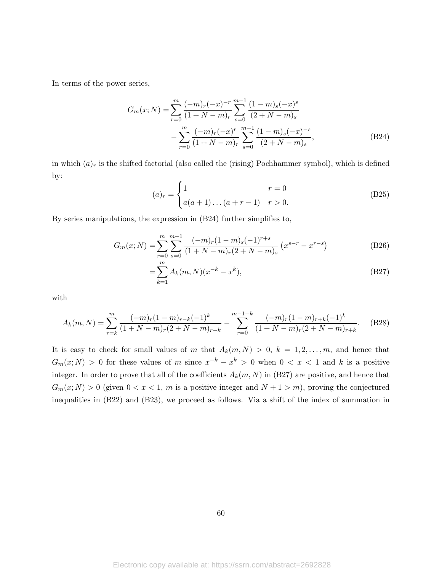In terms of the power series,

$$
G_m(x;N) = \sum_{r=0}^{m} \frac{(-m)_r(-x)^{-r}}{(1+N-m)_r} \sum_{s=0}^{m-1} \frac{(1-m)_s(-x)^s}{(2+N-m)_s}
$$

$$
-\sum_{r=0}^{m} \frac{(-m)_r(-x)^r}{(1+N-m)_r} \sum_{s=0}^{m-1} \frac{(1-m)_s(-x)^{-s}}{(2+N-m)_s},
$$
(B24)

in which  $(a)_r$  is the shifted factorial (also called the (rising) Pochhammer symbol), which is defined by:

$$
(a)_r = \begin{cases} 1 & r = 0 \\ a(a+1)...(a+r-1) & r > 0. \end{cases}
$$
 (B25)

By series manipulations, the expression in (B24) further simplifies to,

$$
G_m(x;N) = \sum_{r=0}^{m} \sum_{s=0}^{m-1} \frac{(-m)_r (1-m)_s (-1)^{r+s}}{(1+N-m)_r (2+N-m)_s} \left(x^{s-r} - x^{r-s}\right)
$$
(B26)

$$
=\sum_{k=1}^{m} A_k(m,N)(x^{-k}-x^k),
$$
\n(B27)

with

$$
A_k(m,N) = \sum_{r=k}^{m} \frac{(-m)_r (1-m)_{r-k} (-1)^k}{(1+N-m)_r (2+N-m)_{r-k}} - \sum_{r=0}^{m-1-k} \frac{(-m)_r (1-m)_{r+k} (-1)^k}{(1+N-m)_r (2+N-m)_{r+k}}.
$$
 (B28)

It is easy to check for small values of m that  $A_k(m, N) > 0, k = 1, 2, ..., m$ , and hence that  $G_m(x;N) > 0$  for these values of m since  $x^{-k} - x^k > 0$  when  $0 < x < 1$  and k is a positive integer. In order to prove that all of the coefficients  $A_k(m, N)$  in (B27) are positive, and hence that  $G_m(x;N) > 0$  (given  $0 < x < 1$ , m is a positive integer and  $N + 1 > m$ ), proving the conjectured inequalities in (B22) and (B23), we proceed as follows. Via a shift of the index of summation in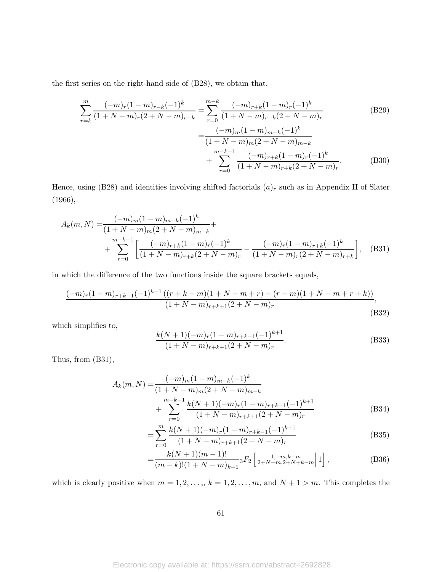the first series on the right-hand side of (B28), we obtain that,

$$
\sum_{r=k}^{m} \frac{(-m)_r (1-m)_{r-k} (-1)^k}{(1+N-m)_r (2+N-m)_{r-k}} = \sum_{r=0}^{m-k} \frac{(-m)_{r+k} (1-m)_r (-1)^k}{(1+N-m)_{r+k} (2+N-m)_r}
$$
(B29)  

$$
= \frac{(-m)_m (1-m)_{m-k} (-1)^k}{(1+N-m)_m (2+N-m)_{m-k}}
$$
  

$$
+ \sum_{r=0}^{m-k-1} \frac{(-m)_{r+k} (1-m)_r (-1)^k}{(1+N-m)_{r+k} (2+N-m)_r}.
$$
(B30)

Hence, using (B28) and identities involving shifted factorials  $(a)_r$  such as in Appendix II of Slater (1966),

$$
A_k(m,N) = \frac{(-m)_m (1-m)_{m-k} (-1)^k}{(1+N-m)_m (2+N-m)_{m-k}} + \sum_{r=0}^{m-k-1} \left[ \frac{(-m)_{r+k} (1-m)_r (-1)^k}{(1+N-m)_{r+k} (2+N-m)_r} - \frac{(-m)_r (1-m)_{r+k} (-1)^k}{(1+N-m)_{r} (2+N-m)_{r+k}} \right], \quad (B31)
$$

in which the difference of the two functions inside the square brackets equals,

$$
\frac{(-m)_r(1-m)_{r+k-1}(-1)^{k+1}\left((r+k-m)(1+N-m+r)-(r-m)(1+N-m+r+k)\right)}{(1+N-m)_{r+k+1}(2+N-m)_r},\tag{B32}
$$

which simplifies to,

$$
\frac{k(N+1)(-m)_r(1-m)_{r+k-1}(-1)^{k+1}}{(1+N-m)_{r+k+1}(2+N-m)_r}.
$$
\n(B33)

Thus, from (B31),

$$
A_k(m,N) = \frac{(-m)_m (1-m)_{m-k} (-1)^k}{(1+N-m)_m (2+N-m)_{m-k}} + \sum_{r=0}^{m-k-1} \frac{k(N+1)(-m)_r (1-m)_{r+k-1} (-1)^{k+1}}{(1+N-m)_{r+k+1} (2+N-m)_r}
$$
(B34)

$$
= \sum_{r=0}^{m} \frac{k(N+1)(-m)_r(1-m)_{r+k-1}(-1)^{k+1}}{(1+N-m)_{r+k+1}(2+N-m)_r}
$$
(B35)

$$
=\frac{k(N+1)(m-1)!}{(m-k)!(1+N-m)_{k+1}} {}_3F_2\left[\begin{array}{c}1,-m,k-m\\2+N-m,2+N+k-m\end{array}\right] \Big| ,\tag{B36}
$$

which is clearly positive when  $m = 1, 2, ..., k = 1, 2, ..., m$ , and  $N + 1 > m$ . This completes the